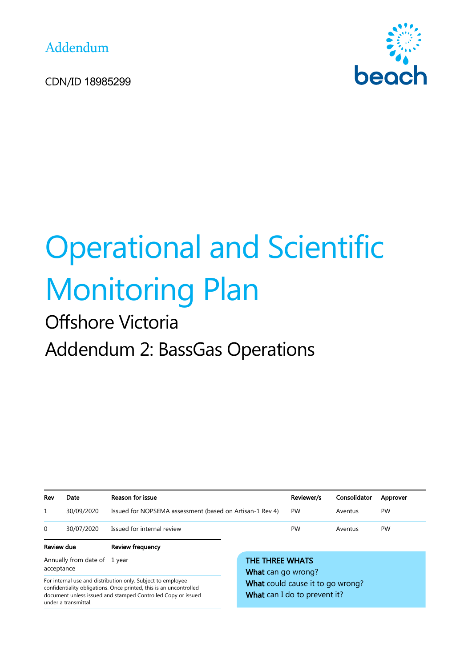Addendum

CDN/ID 18985299



# Operational and Scientific Monitoring Plan

# Offshore Victoria Addendum 2: BassGas Operations

| Rev                                                                                                                                                                                                                       | Date       | <b>Reason for issue</b>                                  |                                                                  | Reviewer/s | Consolidator | Approver  |
|---------------------------------------------------------------------------------------------------------------------------------------------------------------------------------------------------------------------------|------------|----------------------------------------------------------|------------------------------------------------------------------|------------|--------------|-----------|
| $\mathbf{1}$                                                                                                                                                                                                              | 30/09/2020 | Issued for NOPSEMA assessment (based on Artisan-1 Rev 4) |                                                                  | <b>PW</b>  | Aventus      | <b>PW</b> |
| $\Omega$                                                                                                                                                                                                                  | 30/07/2020 | Issued for internal review                               |                                                                  | <b>PW</b>  | Aventus      | <b>PW</b> |
|                                                                                                                                                                                                                           | Review due | <b>Review frequency</b>                                  |                                                                  |            |              |           |
| Annually from date of 1 year<br>acceptance                                                                                                                                                                                |            | THE THREE WHATS<br>What can go wrong?                    |                                                                  |            |              |           |
| For internal use and distribution only. Subject to employee<br>confidentiality obligations. Once printed, this is an uncontrolled<br>document unless issued and stamped Controlled Copy or issued<br>under a transmittal. |            |                                                          | What could cause it to go wrong?<br>What can I do to prevent it? |            |              |           |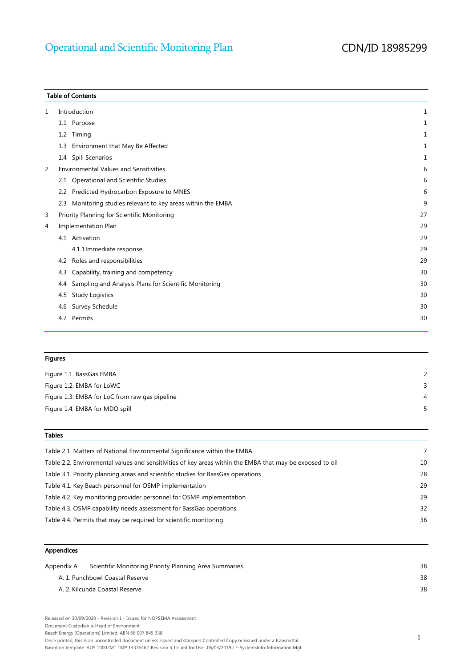|   | <b>Table of Contents</b>                                        |    |
|---|-----------------------------------------------------------------|----|
| 1 | Introduction                                                    | 1  |
|   | 1.1 Purpose                                                     | 1  |
|   | Timing<br>$1.2\phantom{0}$                                      | 1  |
|   | Environment that May Be Affected<br>1.3                         | 1  |
|   | 1.4 Spill Scenarios                                             | 1  |
| 2 | <b>Environmental Values and Sensitivities</b>                   | 6  |
|   | 2.1 Operational and Scientific Studies                          | 6  |
|   | Predicted Hydrocarbon Exposure to MNES<br>2.2                   | 6  |
|   | Monitoring studies relevant to key areas within the EMBA<br>2.3 | 9  |
| 3 | Priority Planning for Scientific Monitoring                     | 27 |
| 4 | Implementation Plan                                             | 29 |
|   | 4.1 Activation                                                  | 29 |
|   | 4.1.1Immediate response                                         | 29 |
|   | 4.2 Roles and responsibilities                                  | 29 |
|   | Capability, training and competency<br>4.3                      | 30 |
|   | Sampling and Analysis Plans for Scientific Monitoring<br>4.4    | 30 |
|   | <b>Study Logistics</b><br>4.5                                   | 30 |
|   | Survey Schedule<br>4.6                                          | 30 |
|   | Permits<br>4.7                                                  | 30 |
|   |                                                                 |    |

| <b>Figures</b>                                 |                |
|------------------------------------------------|----------------|
| Figure 1.1. BassGas EMBA                       | $\mathcal{P}$  |
| Figure 1.2. EMBA for LoWC                      | 3              |
| Figure 1.3. EMBA for LoC from raw gas pipeline | $\overline{4}$ |
| Figure 1.4. EMBA for MDO spill                 | 5              |

| <b>Tables</b>                                                                                             |                |
|-----------------------------------------------------------------------------------------------------------|----------------|
| Table 2.1. Matters of National Environmental Significance within the EMBA                                 | $\overline{7}$ |
| Table 2.2. Environmental values and sensitivities of key areas within the EMBA that may be exposed to oil | 10             |
| Table 3.1. Priority planning areas and scientific studies for BassGas operations                          | 28             |
| Table 4.1. Key Beach personnel for OSMP implementation                                                    | 29             |
| Table 4.2. Key monitoring provider personnel for OSMP implementation                                      | 29             |
| Table 4.3. OSMP capability needs assessment for BassGas operations                                        | 32             |
| Table 4.4. Permits that may be required for scientific monitoring                                         | 36             |
|                                                                                                           |                |

#### Appendices

| Appendix A | Scientific Monitoring Priority Planning Area Summaries | 38 |
|------------|--------------------------------------------------------|----|
|            | A. 1. Punchbowl Coastal Reserve                        | 38 |
|            | A. 2. Kilcunda Coastal Reserve                         | 38 |

Released on 30/09/2020 - Revision 1 - Issued for NOPSEMA Assessment Document Custodian is Head of Environment

Beach Energy (Operations) Limited: ABN 66 007 845 338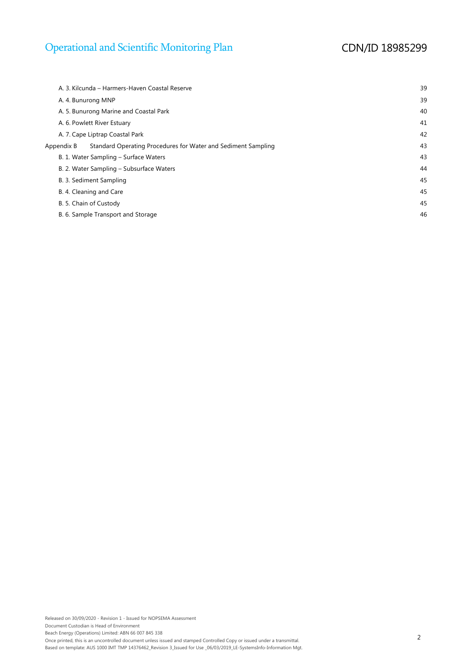|            | A. 3. Kilcunda – Harmers-Haven Coastal Reserve                | 39 |
|------------|---------------------------------------------------------------|----|
|            | A. 4. Bunurong MNP                                            | 39 |
|            | A. 5. Bunurong Marine and Coastal Park                        | 40 |
|            | A. 6. Powlett River Estuary                                   | 41 |
|            | A. 7. Cape Liptrap Coastal Park                               | 42 |
| Appendix B | Standard Operating Procedures for Water and Sediment Sampling | 43 |
|            | B. 1. Water Sampling – Surface Waters                         | 43 |
|            | B. 2. Water Sampling – Subsurface Waters                      | 44 |
|            | B. 3. Sediment Sampling                                       | 45 |
|            | B. 4. Cleaning and Care                                       | 45 |
|            | B. 5. Chain of Custody                                        | 45 |
|            | B. 6. Sample Transport and Storage                            | 46 |
|            |                                                               |    |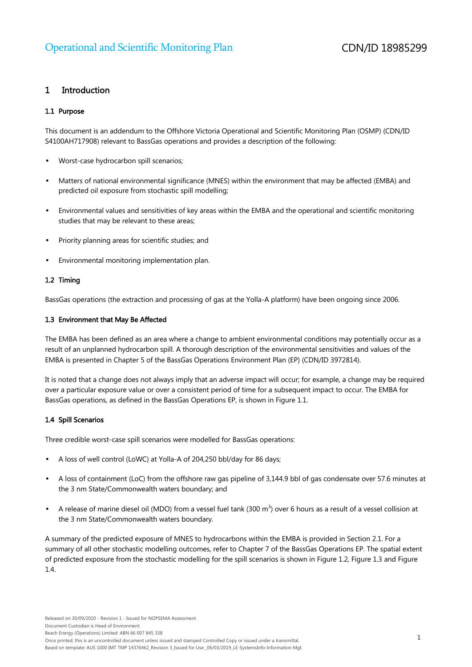#### 1 Introduction

#### 1.1 Purpose

This document is an addendum to the Offshore Victoria Operational and Scientific Monitoring Plan (OSMP) (CDN/ID S4100AH717908) relevant to BassGas operations and provides a description of the following:

- Worst-case hydrocarbon spill scenarios;
- Matters of national environmental significance (MNES) within the environment that may be affected (EMBA) and predicted oil exposure from stochastic spill modelling;
- Environmental values and sensitivities of key areas within the EMBA and the operational and scientific monitoring studies that may be relevant to these areas;
- Priority planning areas for scientific studies; and
- Environmental monitoring implementation plan.

#### 1.2 Timing

BassGas operations (the extraction and processing of gas at the Yolla-A platform) have been ongoing since 2006.

#### 1.3 Environment that May Be Affected

The EMBA has been defined as an area where a change to ambient environmental conditions may potentially occur as a result of an unplanned hydrocarbon spill. A thorough description of the environmental sensitivities and values of the EMBA is presented in Chapter 5 of the BassGas Operations Environment Plan (EP) (CDN/ID 3972814).

It is noted that a change does not always imply that an adverse impact will occur; for example, a change may be required over a particular exposure value or over a consistent period of time for a subsequent impact to occur. The EMBA for BassGas operations, as defined in the BassGas Operations EP, is shown in Figure 1.1.

#### 1.4 Spill Scenarios

Three credible worst-case spill scenarios were modelled for BassGas operations:

- A loss of well control (LoWC) at Yolla-A of 204,250 bbl/day for 86 days;
- A loss of containment (LoC) from the offshore raw gas pipeline of 3,144.9 bbl of gas condensate over 57.6 minutes at the 3 nm State/Commonwealth waters boundary; and
- A release of marine diesel oil (MDO) from a vessel fuel tank (300  $\text{m}^3$ ) over 6 hours as a result of a vessel collision at the 3 nm State/Commonwealth waters boundary.

A summary of the predicted exposure of MNES to hydrocarbons within the EMBA is provided in Section 2.1. For a summary of all other stochastic modelling outcomes, refer to Chapter 7 of the BassGas Operations EP. The spatial extent of predicted exposure from the stochastic modelling for the spill scenarios is shown in Figure 1.2, Figure 1.3 and Figure 1.4.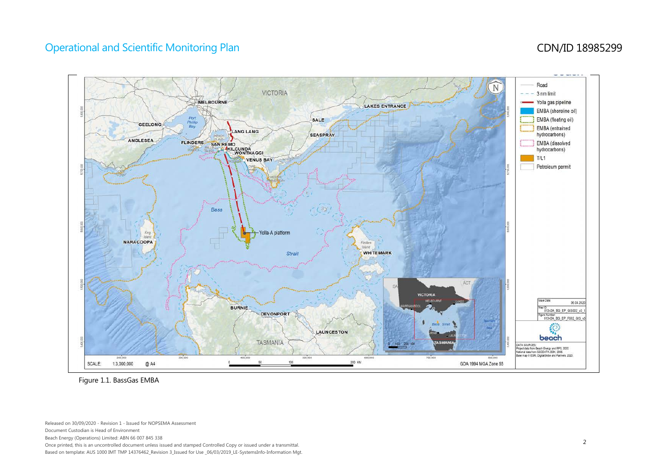# CDN/ID 18985299



Figure 1.1. BassGas EMBA

Released on 30/09/2020 - Revision 1 - Issued for NOPSEMA Assessment

Document Custodian is Head of Environment

Beach Energy (Operations) Limited: ABN 66 007 845 338

Once printed, this is an uncontrolled document unless issued and stamped Controlled Copy or issued under a transmittal.

Based on template: AUS 1000 IMT TMP 14376462\_Revision 3\_Issued for Use \_06/03/2019\_LE-SystemsInfo-Information Mgt.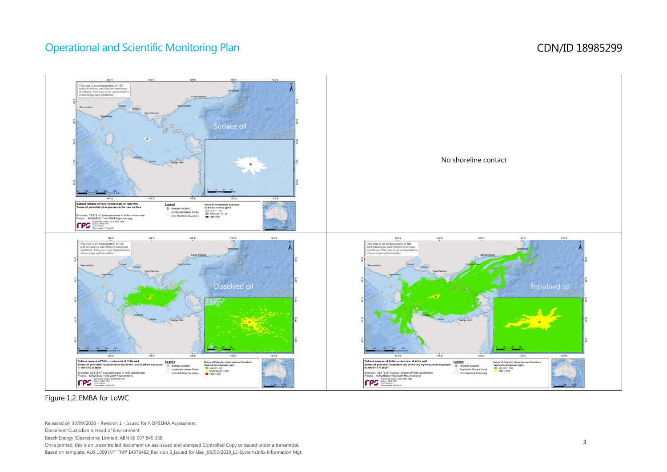#### CDN/ID 18985299



Figure 1.2. EMBA for LoWC

Released on 30/09/2020 - Revision 1 - Issued for NOPSEMA Assessment

Document Custodian is Head of Environment

Beach Energy (Operations) Limited: ABN 66 007 845 338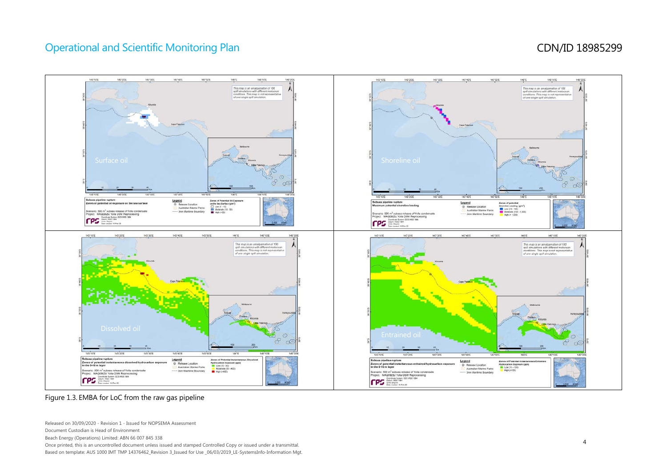# CDN/ID 18985299



#### Figure 1.3. EMBA for LoC from the raw gas pipeline

Document Custodian is Head of Environment

Beach Energy (Operations) Limited: ABN 66 007 845 338

Once printed, this is an uncontrolled document unless issued and stamped Controlled Copy or issued under a transmittal.

Based on template: AUS 1000 IMT TMP 14376462\_Revision 3\_Issued for Use \_06/03/2019\_LE-SystemsInfo-Information Mgt.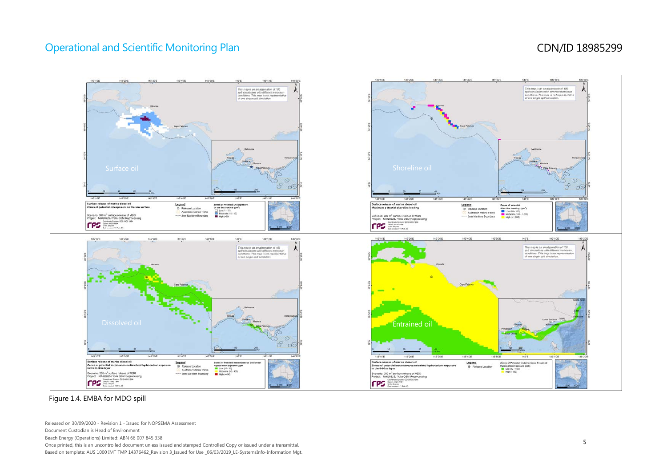# CDN/ID 18985299



Figure 1.4. EMBA for MDO spill

Released on 30/09/2020 - Revision 1 - Issued for NOPSEMA Assessment

Document Custodian is Head of Environment

Beach Energy (Operations) Limited: ABN 66 007 845 338

Once printed, this is an uncontrolled document unless issued and stamped Controlled Copy or issued under a transmittal.

Based on template: AUS 1000 IMT TMP 14376462\_Revision 3\_Issued for Use \_06/03/2019\_LE-SystemsInfo-Information Mgt.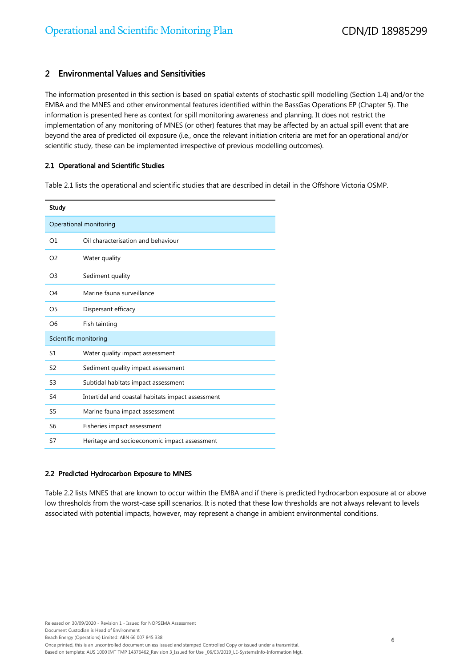#### 2 Environmental Values and Sensitivities

The information presented in this section is based on spatial extents of stochastic spill modelling (Section 1.4) and/or the EMBA and the MNES and other environmental features identified within the BassGas Operations EP (Chapter 5). The information is presented here as context for spill monitoring awareness and planning. It does not restrict the implementation of any monitoring of MNES (or other) features that may be affected by an actual spill event that are beyond the area of predicted oil exposure (i.e., once the relevant initiation criteria are met for an operational and/or scientific study, these can be implemented irrespective of previous modelling outcomes).

#### 2.1 Operational and Scientific Studies

Table 2.1 lists the operational and scientific studies that are described in detail in the Offshore Victoria OSMP.

| Study          |                                                   |
|----------------|---------------------------------------------------|
|                | Operational monitoring                            |
| O1             | Oil characterisation and behaviour                |
| O <sub>2</sub> | Water quality                                     |
| O <sub>3</sub> | Sediment quality                                  |
| O4             | Marine fauna surveillance                         |
| O <sub>5</sub> | Dispersant efficacy                               |
| O6             | Fish tainting                                     |
|                | Scientific monitoring                             |
| S1             | Water quality impact assessment                   |
| S <sub>2</sub> | Sediment quality impact assessment                |
| S <sub>3</sub> | Subtidal habitats impact assessment               |
| S4             | Intertidal and coastal habitats impact assessment |
| S <sub>5</sub> | Marine fauna impact assessment                    |
| S <sub>6</sub> | Fisheries impact assessment                       |
| S7             | Heritage and socioeconomic impact assessment      |

#### 2.2 Predicted Hydrocarbon Exposure to MNES

Table 2.2 lists MNES that are known to occur within the EMBA and if there is predicted hydrocarbon exposure at or above low thresholds from the worst-case spill scenarios. It is noted that these low thresholds are not always relevant to levels associated with potential impacts, however, may represent a change in ambient environmental conditions.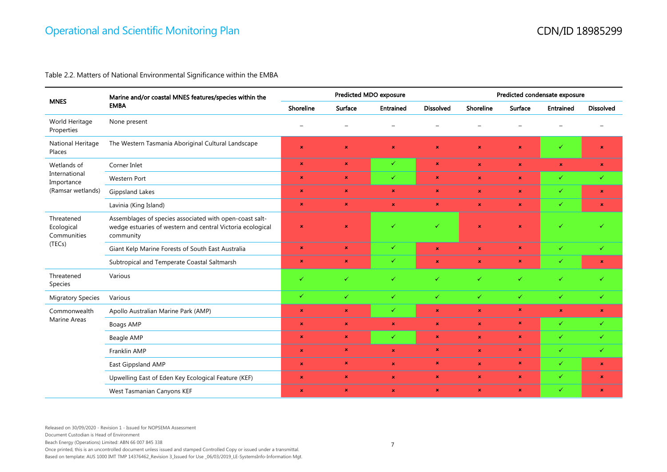#### Table 2.2. Matters of National Environmental Significance within the EMBA

| <b>MNES</b>                             | Marine and/or coastal MNES features/species within the<br><b>EMBA</b>                                                              | Predicted MDO exposure   |                |                  | Predicted condensate exposure |                           |                |                  |                  |
|-----------------------------------------|------------------------------------------------------------------------------------------------------------------------------------|--------------------------|----------------|------------------|-------------------------------|---------------------------|----------------|------------------|------------------|
|                                         |                                                                                                                                    | Shoreline                | Surface        | <b>Entrained</b> | <b>Dissolved</b>              | Shoreline                 | Surface        | <b>Entrained</b> | <b>Dissolved</b> |
| World Heritage<br>Properties            | None present                                                                                                                       | $\overline{\phantom{0}}$ |                |                  |                               |                           |                |                  |                  |
| National Heritage<br>Places             | The Western Tasmania Aboriginal Cultural Landscape                                                                                 | $\pmb{\times}$           | $\pmb{\times}$ | $\pmb{\times}$   | $\pmb{\times}$                | $\pmb{\times}$            | $\pmb{\times}$ | ✓                | $\pmb{\times}$   |
| Wetlands of                             | Corner Inlet                                                                                                                       | $\pmb{\times}$           | $\pmb{\times}$ | ✓                | $\pmb{\times}$                | $\pmb{\times}$            | $\pmb{\times}$ | $\pmb{\times}$   | $\pmb{\times}$   |
| International<br>Importance             | Western Port                                                                                                                       | <b>IST</b>               | ×              | $\checkmark$     | $\pmb{\times}$                | $\pmb{\times}$            | $\pmb{\times}$ | ✓                | $\checkmark$     |
| (Ramsar wetlands)                       | Gippsland Lakes                                                                                                                    | $\pmb{\times}$           | $\pmb{\times}$ | $\pmb{\times}$   | $\pmb{\times}$                | $\pmb{\times}$            | $\pmb{\times}$ | ✓                | $\pmb{\times}$   |
|                                         | Lavinia (King Island)                                                                                                              | $\pmb{\times}$           | $\pmb{\times}$ | $\pmb{\times}$   | $\pmb{\times}$                | $\pmb{\times}$            | $\pmb{\times}$ | ✓                | $\pmb{\times}$   |
| Threatened<br>Ecological<br>Communities | Assemblages of species associated with open-coast salt-<br>wedge estuaries of western and central Victoria ecological<br>community | $\pmb{\times}$           | $\pmb{\times}$ | ✓                | ✓                             | $\boldsymbol{\mathsf{x}}$ | $\pmb{\times}$ | ✓                |                  |
| (TECs)                                  | Giant Kelp Marine Forests of South East Australia                                                                                  | $\pmb{\times}$           | $\pmb{\times}$ | $\checkmark$     | $\pmb{\times}$                | $\pmb{\times}$            | $\pmb{\times}$ | ✓                | $\checkmark$     |
|                                         | Subtropical and Temperate Coastal Saltmarsh                                                                                        | $\pmb{\times}$           | ×              | $\checkmark$     | $\pmb{\times}$                | $\pmb{\times}$            | ×              | ✓                | $\pmb{\times}$   |
| Threatened<br>Species                   | Various                                                                                                                            | ✓                        | ✓              | ✓                | ✓                             | ✓                         | ✓              | ✓                | ✓                |
| <b>Migratory Species</b>                | Various                                                                                                                            | ✓                        | ✓              | $\checkmark$     | $\checkmark$                  | ✓                         | ✓              | $\checkmark$     | $\checkmark$     |
| Commonwealth                            | Apollo Australian Marine Park (AMP)                                                                                                | $\pmb{\times}$           | $\pmb{\times}$ | ✓                | $\pmb{\times}$                | $\pmb{\times}$            | $\pmb{\times}$ | $\pmb{\times}$   | $\pmb{\times}$   |
| <b>Marine Areas</b>                     | Boags AMP                                                                                                                          | $\pmb{\times}$           | $\pmb{\times}$ | $\pmb{\times}$   | $\pmb{\times}$                | $\pmb{\times}$            | ×              | ✓                | $\checkmark$     |
|                                         | Beagle AMP                                                                                                                         | $\pmb{\times}$           | $\pmb{\times}$ | ✓                | $\pmb{\times}$                | $\pmb{\times}$            | $\pmb{\times}$ | ✓                | ✓                |
|                                         | Franklin AMP                                                                                                                       | $\pmb{\times}$           | ×              | $\pmb{\times}$   | $\pmb{\times}$                | $\pmb{\times}$            | $\pmb{\times}$ | ✓                | $\checkmark$     |
|                                         | East Gippsland AMP                                                                                                                 | $\pmb{\times}$           | $\mathbf x$    | $\pmb{\times}$   | $\pmb{\times}$                | $\pmb{\times}$            | $\pmb{\times}$ | ✓                | $\pmb{\times}$   |
|                                         | Upwelling East of Eden Key Ecological Feature (KEF)                                                                                | $\pmb{\times}$           | $\pmb{\times}$ | $\pmb{\times}$   | $\pmb{\times}$                | $\pmb{\times}$            | $\pmb{\times}$ | ✓                | $\pmb{\times}$   |
|                                         | West Tasmanian Canyons KEF                                                                                                         | $\pmb{\times}$           | ×              | $\pmb{\times}$   | $\pmb{\times}$                | $\pmb{\times}$            | $\pmb{\times}$ | ✓                | $\pmb{\times}$   |

Document Custodian is Head of Environment

Beach Energy (Operations) Limited: ABN 66 007 845 338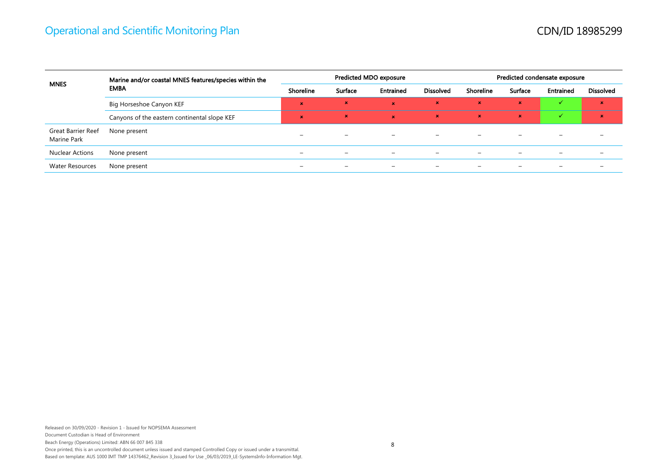| <b>MNES</b>                              | Marine and/or coastal MNES features/species within the | Predicted MDO exposure   |                          |                  |                  | Predicted condensate exposure |                          |              |                           |  |
|------------------------------------------|--------------------------------------------------------|--------------------------|--------------------------|------------------|------------------|-------------------------------|--------------------------|--------------|---------------------------|--|
|                                          | <b>EMBA</b>                                            | Shoreline                | Surface                  | <b>Entrained</b> | <b>Dissolved</b> | Shoreline                     | Surface                  | Entrained    | <b>Dissolved</b>          |  |
|                                          | Big Horseshoe Canyon KEF                               | $\pmb{\times}$           | $\pmb{\times}$           | $\mathbf{x}$     | $\mathbf x$      | $\mathbf x$                   | $\mathbf x$              | $\checkmark$ | $\mathbf x$               |  |
|                                          | Canyons of the eastern continental slope KEF           | $\mathbf x$              | $\mathbf x$              | <b>x</b>         | $\mathbf{x}$     | $\mathbf{x}$                  | $\mathbf x$              |              | $\boldsymbol{\mathsf{x}}$ |  |
| <b>Great Barrier Reef</b><br>Marine Park | None present                                           | -                        | $\overline{\phantom{0}}$ | -                | <b>-</b>         |                               | $\overline{\phantom{0}}$ | -            |                           |  |
| <b>Nuclear Actions</b>                   | None present                                           | $\overline{\phantom{0}}$ |                          |                  |                  |                               |                          |              |                           |  |
| <b>Water Resources</b>                   | None present                                           | -                        |                          |                  |                  |                               |                          |              |                           |  |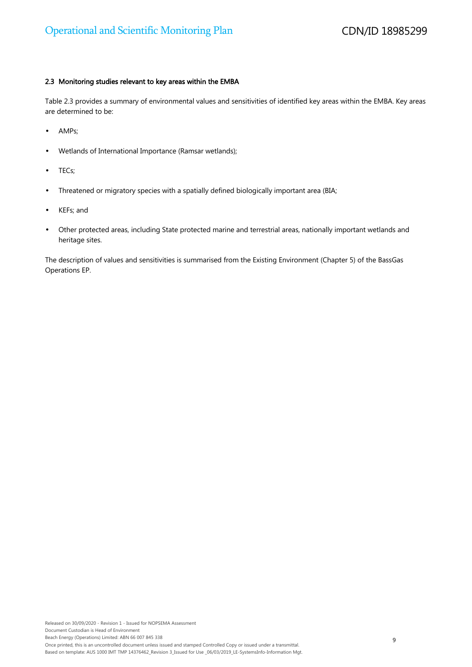#### 2.3 Monitoring studies relevant to key areas within the EMBA

Table 2.3 provides a summary of environmental values and sensitivities of identified key areas within the EMBA. Key areas are determined to be:

- AMPs;
- Wetlands of International Importance (Ramsar wetlands);
- TECs;
- Threatened or migratory species with a spatially defined biologically important area (BIA;
- KEFs; and
- Other protected areas, including State protected marine and terrestrial areas, nationally important wetlands and heritage sites.

The description of values and sensitivities is summarised from the Existing Environment (Chapter 5) of the BassGas Operations EP.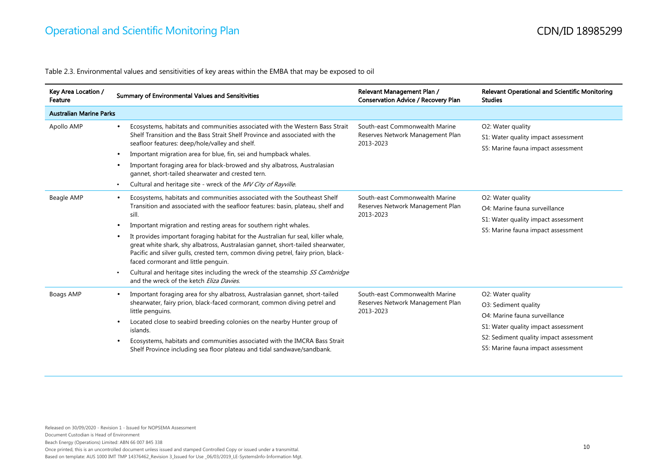Table 2.3. Environmental values and sensitivities of key areas within the EMBA that may be exposed to oil

| Key Area Location /<br>Feature | <b>Summary of Environmental Values and Sensitivities</b>                                                                                                                                                                                                                                                                                                                                                                                                                                                                                                                                                                                                                                                                      | Relevant Management Plan /<br>Conservation Advice / Recovery Plan               | <b>Relevant Operational and Scientific Monitoring</b><br><b>Studies</b>                                                                                                                           |
|--------------------------------|-------------------------------------------------------------------------------------------------------------------------------------------------------------------------------------------------------------------------------------------------------------------------------------------------------------------------------------------------------------------------------------------------------------------------------------------------------------------------------------------------------------------------------------------------------------------------------------------------------------------------------------------------------------------------------------------------------------------------------|---------------------------------------------------------------------------------|---------------------------------------------------------------------------------------------------------------------------------------------------------------------------------------------------|
| <b>Australian Marine Parks</b> |                                                                                                                                                                                                                                                                                                                                                                                                                                                                                                                                                                                                                                                                                                                               |                                                                                 |                                                                                                                                                                                                   |
| Apollo AMP                     | Ecosystems, habitats and communities associated with the Western Bass Strait<br>$\bullet$<br>Shelf Transition and the Bass Strait Shelf Province and associated with the<br>seafloor features: deep/hole/valley and shelf.<br>Important migration area for blue, fin, sei and humpback whales.<br>$\bullet$<br>Important foraging area for black-browed and shy albatross, Australasian<br>$\bullet$<br>gannet, short-tailed shearwater and crested tern.<br>Cultural and heritage site - wreck of the MV City of Rayville.<br>$\bullet$                                                                                                                                                                                      | South-east Commonwealth Marine<br>Reserves Network Management Plan<br>2013-2023 | O2: Water quality<br>S1: Water quality impact assessment<br>S5: Marine fauna impact assessment                                                                                                    |
| Beagle AMP                     | Ecosystems, habitats and communities associated with the Southeast Shelf<br>$\bullet$<br>Transition and associated with the seafloor features: basin, plateau, shelf and<br>sill.<br>Important migration and resting areas for southern right whales.<br>$\bullet$<br>It provides important foraging habitat for the Australian fur seal, killer whale,<br>$\bullet$<br>great white shark, shy albatross, Australasian gannet, short-tailed shearwater,<br>Pacific and silver gulls, crested tern, common diving petrel, fairy prion, black-<br>faced cormorant and little penguin.<br>Cultural and heritage sites including the wreck of the steamship SS Cambridge<br>$\bullet$<br>and the wreck of the ketch Eliza Davies. | South-east Commonwealth Marine<br>Reserves Network Management Plan<br>2013-2023 | O2: Water quality<br>O4: Marine fauna surveillance<br>S1: Water quality impact assessment<br>S5: Marine fauna impact assessment                                                                   |
| Boags AMP                      | Important foraging area for shy albatross, Australasian gannet, short-tailed<br>$\bullet$<br>shearwater, fairy prion, black-faced cormorant, common diving petrel and<br>little penguins.<br>Located close to seabird breeding colonies on the nearby Hunter group of<br>$\bullet$<br>islands.<br>Ecosystems, habitats and communities associated with the IMCRA Bass Strait<br>$\bullet$<br>Shelf Province including sea floor plateau and tidal sandwave/sandbank.                                                                                                                                                                                                                                                          | South-east Commonwealth Marine<br>Reserves Network Management Plan<br>2013-2023 | O2: Water quality<br>O3: Sediment quality<br>O4: Marine fauna surveillance<br>S1: Water quality impact assessment<br>S2: Sediment quality impact assessment<br>S5: Marine fauna impact assessment |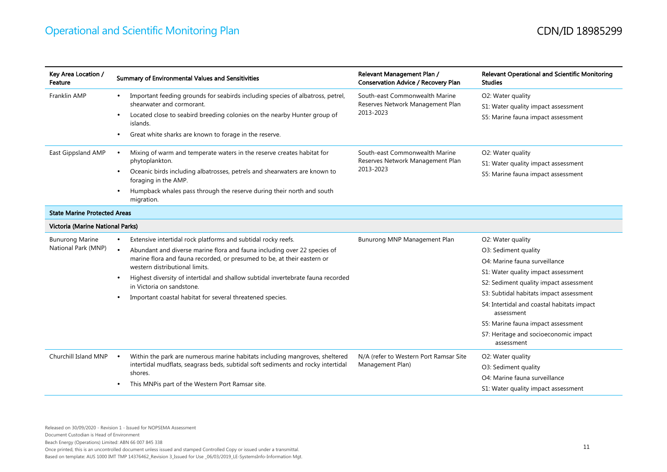| Key Area Location /<br>Feature                | Summary of Environmental Values and Sensitivities                                                                                                                                                                                                                                                                                                                                                                                                 | Relevant Management Plan /<br><b>Conservation Advice / Recovery Plan</b>                                                                              | <b>Relevant Operational and Scientific Monitoring</b><br><b>Studies</b>                                                                                                                                                                                                                                                                                         |
|-----------------------------------------------|---------------------------------------------------------------------------------------------------------------------------------------------------------------------------------------------------------------------------------------------------------------------------------------------------------------------------------------------------------------------------------------------------------------------------------------------------|-------------------------------------------------------------------------------------------------------------------------------------------------------|-----------------------------------------------------------------------------------------------------------------------------------------------------------------------------------------------------------------------------------------------------------------------------------------------------------------------------------------------------------------|
| Franklin AMP<br>East Gippsland AMP            | Important feeding grounds for seabirds including species of albatross, petrel,<br>$\bullet$<br>shearwater and cormorant.<br>Located close to seabird breeding colonies on the nearby Hunter group of<br>islands.<br>Great white sharks are known to forage in the reserve.<br>٠<br>Mixing of warm and temperate waters in the reserve creates habitat for<br>$\bullet$<br>phytoplankton.                                                          | South-east Commonwealth Marine<br>Reserves Network Management Plan<br>2013-2023<br>South-east Commonwealth Marine<br>Reserves Network Management Plan | O2: Water quality<br>S1: Water quality impact assessment<br>S5: Marine fauna impact assessment<br>O2: Water quality<br>S1: Water quality impact assessment                                                                                                                                                                                                      |
|                                               | Oceanic birds including albatrosses, petrels and shearwaters are known to<br>$\bullet$<br>foraging in the AMP.<br>Humpback whales pass through the reserve during their north and south<br>migration.                                                                                                                                                                                                                                             | 2013-2023                                                                                                                                             | S5: Marine fauna impact assessment                                                                                                                                                                                                                                                                                                                              |
| <b>State Marine Protected Areas</b>           |                                                                                                                                                                                                                                                                                                                                                                                                                                                   |                                                                                                                                                       |                                                                                                                                                                                                                                                                                                                                                                 |
| Victoria (Marine National Parks)              |                                                                                                                                                                                                                                                                                                                                                                                                                                                   |                                                                                                                                                       |                                                                                                                                                                                                                                                                                                                                                                 |
| <b>Bunurong Marine</b><br>National Park (MNP) | Extensive intertidal rock platforms and subtidal rocky reefs.<br>Abundant and diverse marine flora and fauna including over 22 species of<br>marine flora and fauna recorded, or presumed to be, at their eastern or<br>western distributional limits.<br>Highest diversity of intertidal and shallow subtidal invertebrate fauna recorded<br>$\bullet$<br>in Victoria on sandstone.<br>Important coastal habitat for several threatened species. | Bunurong MNP Management Plan                                                                                                                          | O2: Water quality<br>O3: Sediment quality<br>O4: Marine fauna surveillance<br>S1: Water quality impact assessment<br>S2: Sediment quality impact assessment<br>S3: Subtidal habitats impact assessment<br>S4: Intertidal and coastal habitats impact<br>assessment<br>S5: Marine fauna impact assessment<br>S7: Heritage and socioeconomic impact<br>assessment |
| Churchill Island MNP                          | Within the park are numerous marine habitats including mangroves, sheltered<br>intertidal mudflats, seagrass beds, subtidal soft sediments and rocky intertidal<br>shores.<br>This MNPis part of the Western Port Ramsar site.                                                                                                                                                                                                                    | N/A (refer to Western Port Ramsar Site<br>Management Plan)                                                                                            | O2: Water quality<br>O3: Sediment quality<br>O4: Marine fauna surveillance<br>S1: Water quality impact assessment                                                                                                                                                                                                                                               |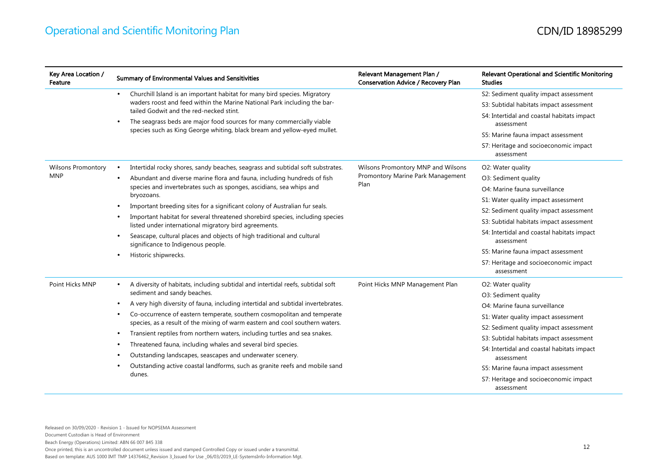| Key Area Location /<br>Feature | Summary of Environmental Values and Sensitivities                                                                                                                                                                                                                                                                     | Relevant Management Plan /<br><b>Conservation Advice / Recovery Plan</b> | Relevant Operational and Scientific Monitoring<br><b>Studies</b> |
|--------------------------------|-----------------------------------------------------------------------------------------------------------------------------------------------------------------------------------------------------------------------------------------------------------------------------------------------------------------------|--------------------------------------------------------------------------|------------------------------------------------------------------|
|                                | Churchill Island is an important habitat for many bird species. Migratory<br>$\bullet$                                                                                                                                                                                                                                |                                                                          | S2: Sediment quality impact assessment                           |
|                                | waders roost and feed within the Marine National Park including the bar-<br>tailed Godwit and the red-necked stint.                                                                                                                                                                                                   |                                                                          | S3: Subtidal habitats impact assessment                          |
|                                | The seagrass beds are major food sources for many commercially viable<br>$\bullet$                                                                                                                                                                                                                                    |                                                                          | S4: Intertidal and coastal habitats impact<br>assessment         |
|                                | species such as King George whiting, black bream and yellow-eyed mullet.                                                                                                                                                                                                                                              |                                                                          | S5: Marine fauna impact assessment                               |
|                                |                                                                                                                                                                                                                                                                                                                       |                                                                          | S7: Heritage and socioeconomic impact<br>assessment              |
| <b>Wilsons Promontory</b>      | Intertidal rocky shores, sandy beaches, seagrass and subtidal soft substrates.<br>$\bullet$                                                                                                                                                                                                                           | Wilsons Promontory MNP and Wilsons                                       | O2: Water quality                                                |
| <b>MNP</b>                     | Abundant and diverse marine flora and fauna, including hundreds of fish<br>$\bullet$                                                                                                                                                                                                                                  | Promontory Marine Park Management                                        | O3: Sediment quality                                             |
|                                | species and invertebrates such as sponges, ascidians, sea whips and                                                                                                                                                                                                                                                   | Plan                                                                     | O4: Marine fauna surveillance                                    |
|                                | bryozoans.                                                                                                                                                                                                                                                                                                            |                                                                          | S1: Water quality impact assessment                              |
|                                | Important breeding sites for a significant colony of Australian fur seals.<br>$\bullet$                                                                                                                                                                                                                               |                                                                          | S2: Sediment quality impact assessment                           |
|                                | Important habitat for several threatened shorebird species, including species<br>$\bullet$<br>listed under international migratory bird agreements.<br>Seascape, cultural places and objects of high traditional and cultural<br>$\bullet$<br>significance to Indigenous people.<br>Historic shipwrecks.<br>$\bullet$ |                                                                          | S3: Subtidal habitats impact assessment                          |
|                                |                                                                                                                                                                                                                                                                                                                       |                                                                          | S4: Intertidal and coastal habitats impact<br>assessment         |
|                                |                                                                                                                                                                                                                                                                                                                       |                                                                          | S5: Marine fauna impact assessment                               |
|                                |                                                                                                                                                                                                                                                                                                                       |                                                                          | S7: Heritage and socioeconomic impact<br>assessment              |
| Point Hicks MNP                | A diversity of habitats, including subtidal and intertidal reefs, subtidal soft<br>$\bullet$                                                                                                                                                                                                                          | Point Hicks MNP Management Plan                                          | O2: Water quality                                                |
|                                | sediment and sandy beaches.                                                                                                                                                                                                                                                                                           |                                                                          | O3: Sediment quality                                             |
|                                | A very high diversity of fauna, including intertidal and subtidal invertebrates.<br>$\bullet$                                                                                                                                                                                                                         |                                                                          | O4: Marine fauna surveillance                                    |
|                                | Co-occurrence of eastern temperate, southern cosmopolitan and temperate<br>$\bullet$                                                                                                                                                                                                                                  |                                                                          | S1: Water quality impact assessment                              |
|                                | species, as a result of the mixing of warm eastern and cool southern waters.                                                                                                                                                                                                                                          |                                                                          | S2: Sediment quality impact assessment                           |
|                                | Transient reptiles from northern waters, including turtles and sea snakes.<br>$\bullet$                                                                                                                                                                                                                               |                                                                          | S3: Subtidal habitats impact assessment                          |
|                                | Threatened fauna, including whales and several bird species.<br>٠                                                                                                                                                                                                                                                     |                                                                          | S4: Intertidal and coastal habitats impact                       |
|                                | Outstanding landscapes, seascapes and underwater scenery.<br>$\bullet$                                                                                                                                                                                                                                                |                                                                          | assessment                                                       |
|                                | Outstanding active coastal landforms, such as granite reefs and mobile sand<br>$\bullet$                                                                                                                                                                                                                              |                                                                          | S5: Marine fauna impact assessment                               |
|                                | dunes.                                                                                                                                                                                                                                                                                                                |                                                                          | S7: Heritage and socioeconomic impact<br>assessment              |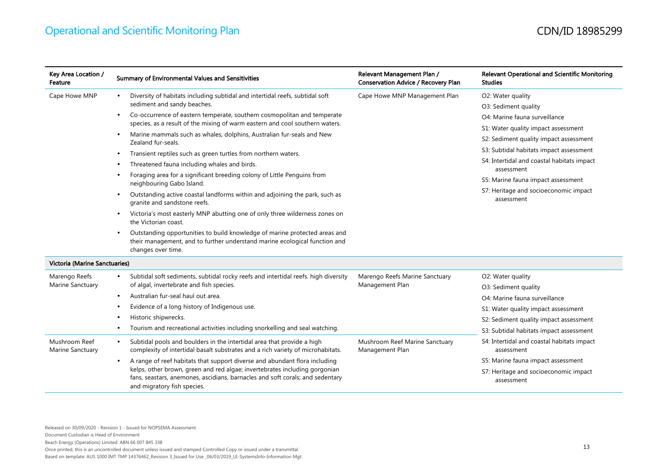| Key Area Location /<br>Feature       | Summary of Environmental Values and Sensitivities                                                                                                                                                                                                                                                                                                                                                                                                                                                                                                                                                                                                                                                                                                                                                                                                                                                                                                                           | Relevant Management Plan /<br>Conservation Advice / Recovery Plan | Relevant Operational and Scientific Monitoring<br><b>Studies</b>                                                                                                                                                                                                                                                   |
|--------------------------------------|-----------------------------------------------------------------------------------------------------------------------------------------------------------------------------------------------------------------------------------------------------------------------------------------------------------------------------------------------------------------------------------------------------------------------------------------------------------------------------------------------------------------------------------------------------------------------------------------------------------------------------------------------------------------------------------------------------------------------------------------------------------------------------------------------------------------------------------------------------------------------------------------------------------------------------------------------------------------------------|-------------------------------------------------------------------|--------------------------------------------------------------------------------------------------------------------------------------------------------------------------------------------------------------------------------------------------------------------------------------------------------------------|
| Cape Howe MNP                        | Diversity of habitats including subtidal and intertidal reefs, subtidal soft<br>$\bullet$<br>sediment and sandy beaches.                                                                                                                                                                                                                                                                                                                                                                                                                                                                                                                                                                                                                                                                                                                                                                                                                                                    | Cape Howe MNP Management Plan                                     | O2: Water quality<br>O3: Sediment quality                                                                                                                                                                                                                                                                          |
|                                      | Co-occurrence of eastern temperate, southern cosmopolitan and temperate<br>$\bullet$<br>species, as a result of the mixing of warm eastern and cool southern waters.<br>Marine mammals such as whales, dolphins, Australian fur-seals and New<br>$\bullet$<br>Zealand fur-seals.<br>Transient reptiles such as green turtles from northern waters.<br>$\bullet$<br>Threatened fauna including whales and birds.<br>٠<br>Foraging area for a significant breeding colony of Little Penguins from<br>$\bullet$<br>neighbouring Gabo Island.<br>Outstanding active coastal landforms within and adjoining the park, such as<br>$\bullet$<br>granite and sandstone reefs.<br>Victoria's most easterly MNP abutting one of only three wilderness zones on<br>$\bullet$<br>the Victorian coast.<br>Outstanding opportunities to build knowledge of marine protected areas and<br>their management, and to further understand marine ecological function and<br>changes over time. |                                                                   | O4: Marine fauna surveillance<br>S1: Water quality impact assessment<br>S2: Sediment quality impact assessment<br>S3: Subtidal habitats impact assessment<br>S4: Intertidal and coastal habitats impact<br>assessment<br>S5: Marine fauna impact assessment<br>S7: Heritage and socioeconomic impact<br>assessment |
| <b>Victoria (Marine Sanctuaries)</b> |                                                                                                                                                                                                                                                                                                                                                                                                                                                                                                                                                                                                                                                                                                                                                                                                                                                                                                                                                                             |                                                                   |                                                                                                                                                                                                                                                                                                                    |
| Marengo Reefs<br>Marine Sanctuary    | Subtidal soft sediments, subtidal rocky reefs and intertidal reefs. high diversity<br>$\bullet$<br>of algal, invertebrate and fish species.<br>Australian fur-seal haul out area.<br>$\bullet$<br>Evidence of a long history of Indigenous use.<br>$\bullet$<br>Historic shipwrecks.<br>$\bullet$<br>Tourism and recreational activities including snorkelling and seal watching.<br>$\bullet$                                                                                                                                                                                                                                                                                                                                                                                                                                                                                                                                                                              | Marengo Reefs Marine Sanctuary<br>Management Plan                 | O2: Water quality<br>O3: Sediment quality<br>O4: Marine fauna surveillance<br>S1: Water quality impact assessment<br>S2: Sediment quality impact assessment<br>S3: Subtidal habitats impact assessment                                                                                                             |
| Mushroom Reef<br>Marine Sanctuary    | Subtidal pools and boulders in the intertidal area that provide a high<br>$\bullet$<br>complexity of intertidal basalt substrates and a rich variety of microhabitats.<br>A range of reef habitats that support diverse and abundant flora including<br>kelps, other brown, green and red algae; invertebrates including gorgonian<br>fans, seastars, anemones, ascidians, barnacles and soft corals; and sedentary<br>and migratory fish species.                                                                                                                                                                                                                                                                                                                                                                                                                                                                                                                          | Mushroom Reef Marine Sanctuary<br>Management Plan                 | S4: Intertidal and coastal habitats impact<br>assessment<br>S5: Marine fauna impact assessment<br>S7: Heritage and socioeconomic impact<br>assessment                                                                                                                                                              |

Based on template: AUS 1000 IMT TMP 14376462\_Revision 3\_Issued for Use \_06/03/2019\_LE-SystemsInfo-Information Mgt.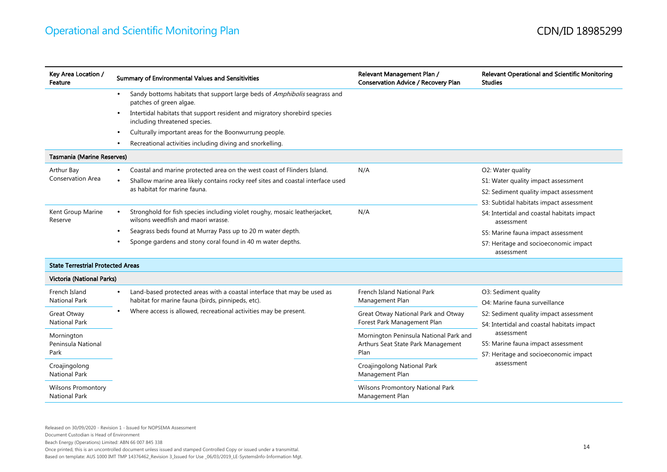| Key Area Location /<br>Feature                    | Summary of Environmental Values and Sensitivities                                                                                         | Relevant Management Plan /<br><b>Conservation Advice / Recovery Plan</b>             | <b>Relevant Operational and Scientific Monitoring</b><br><b>Studies</b>                                                                                                                         |
|---------------------------------------------------|-------------------------------------------------------------------------------------------------------------------------------------------|--------------------------------------------------------------------------------------|-------------------------------------------------------------------------------------------------------------------------------------------------------------------------------------------------|
|                                                   | Sandy bottoms habitats that support large beds of Amphibolis seagrass and<br>$\bullet$<br>patches of green algae.                         |                                                                                      |                                                                                                                                                                                                 |
|                                                   | Intertidal habitats that support resident and migratory shorebird species<br>$\bullet$<br>including threatened species.                   |                                                                                      |                                                                                                                                                                                                 |
|                                                   | Culturally important areas for the Boonwurrung people.<br>٠                                                                               |                                                                                      |                                                                                                                                                                                                 |
|                                                   | Recreational activities including diving and snorkelling.                                                                                 |                                                                                      |                                                                                                                                                                                                 |
| <b>Tasmania (Marine Reserves)</b>                 |                                                                                                                                           |                                                                                      |                                                                                                                                                                                                 |
| Arthur Bay                                        | Coastal and marine protected area on the west coast of Flinders Island.<br>$\bullet$                                                      | N/A                                                                                  | O2: Water quality                                                                                                                                                                               |
| <b>Conservation Area</b>                          | Shallow marine area likely contains rocky reef sites and coastal interface used<br>$\bullet$                                              |                                                                                      | S1: Water quality impact assessment                                                                                                                                                             |
|                                                   | as habitat for marine fauna.                                                                                                              |                                                                                      | S2: Sediment quality impact assessment                                                                                                                                                          |
|                                                   |                                                                                                                                           |                                                                                      | S3: Subtidal habitats impact assessment                                                                                                                                                         |
| Kent Group Marine<br>Reserve                      | Stronghold for fish species including violet roughy, mosaic leatherjacket,<br>wilsons weedfish and maori wrasse.                          | N/A                                                                                  | S4: Intertidal and coastal habitats impact<br>assessment                                                                                                                                        |
|                                                   | Seagrass beds found at Murray Pass up to 20 m water depth.<br>$\bullet$                                                                   |                                                                                      | S5: Marine fauna impact assessment                                                                                                                                                              |
|                                                   | Sponge gardens and stony coral found in 40 m water depths.<br>$\bullet$                                                                   |                                                                                      | S7: Heritage and socioeconomic impact<br>assessment                                                                                                                                             |
| <b>State Terrestrial Protected Areas</b>          |                                                                                                                                           |                                                                                      |                                                                                                                                                                                                 |
| Victoria (National Parks)                         |                                                                                                                                           |                                                                                      |                                                                                                                                                                                                 |
| French Island<br><b>National Park</b>             | Land-based protected areas with a coastal interface that may be used as<br>$\bullet$<br>habitat for marine fauna (birds, pinnipeds, etc). | French Island National Park<br>Management Plan                                       | O3: Sediment quality<br>O4: Marine fauna surveillance                                                                                                                                           |
| Great Otway<br><b>National Park</b>               | Where access is allowed, recreational activities may be present.<br>$\bullet$                                                             | Great Otway National Park and Otway<br>Forest Park Management Plan                   | S2: Sediment quality impact assessment<br>S4: Intertidal and coastal habitats impact<br>assessment<br>S5: Marine fauna impact assessment<br>S7: Heritage and socioeconomic impact<br>assessment |
| Mornington<br>Peninsula National<br>Park          |                                                                                                                                           | Mornington Peninsula National Park and<br>Arthurs Seat State Park Management<br>Plan |                                                                                                                                                                                                 |
| Croajingolong<br><b>National Park</b>             |                                                                                                                                           | Croajingolong National Park<br>Management Plan                                       |                                                                                                                                                                                                 |
| <b>Wilsons Promontory</b><br><b>National Park</b> |                                                                                                                                           | Wilsons Promontory National Park<br>Management Plan                                  |                                                                                                                                                                                                 |

Beach Energy (Operations) Limited: ABN 66 007 845 338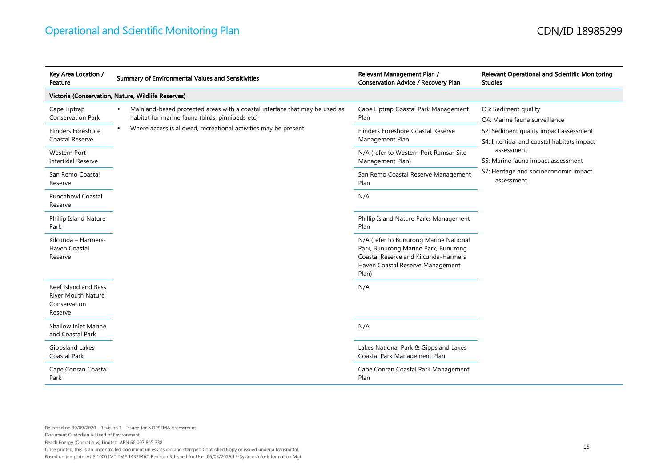| Key Area Location /<br>Feature                                               | Summary of Environmental Values and Sensitivities                                                                              | Relevant Management Plan /<br>Conservation Advice / Recovery Plan                                                                                                   | Relevant Operational and Scientific Monitoring<br><b>Studies</b>                                   |
|------------------------------------------------------------------------------|--------------------------------------------------------------------------------------------------------------------------------|---------------------------------------------------------------------------------------------------------------------------------------------------------------------|----------------------------------------------------------------------------------------------------|
|                                                                              | Victoria (Conservation, Nature, Wildlife Reserves)                                                                             |                                                                                                                                                                     |                                                                                                    |
| Cape Liptrap<br><b>Conservation Park</b>                                     | Mainland-based protected areas with a coastal interface that may be used as<br>habitat for marine fauna (birds, pinnipeds etc) | Cape Liptrap Coastal Park Management<br>Plan                                                                                                                        | O3: Sediment quality<br>O4: Marine fauna surveillance                                              |
| <b>Flinders Foreshore</b><br>Coastal Reserve<br><b>Western Port</b>          | Where access is allowed, recreational activities may be present<br>$\bullet$                                                   | Flinders Foreshore Coastal Reserve<br>Management Plan<br>N/A (refer to Western Port Ramsar Site                                                                     | S2: Sediment quality impact assessment<br>S4: Intertidal and coastal habitats impact<br>assessment |
| <b>Intertidal Reserve</b>                                                    |                                                                                                                                | Management Plan)                                                                                                                                                    | S5: Marine fauna impact assessment                                                                 |
| San Remo Coastal<br>Reserve                                                  |                                                                                                                                | San Remo Coastal Reserve Management<br>Plan                                                                                                                         | S7: Heritage and socioeconomic impact<br>assessment                                                |
| <b>Punchbowl Coastal</b><br>Reserve                                          |                                                                                                                                | N/A                                                                                                                                                                 |                                                                                                    |
| Phillip Island Nature<br>Park                                                |                                                                                                                                | Phillip Island Nature Parks Management<br>Plan                                                                                                                      |                                                                                                    |
| Kilcunda - Harmers-<br>Haven Coastal<br>Reserve                              |                                                                                                                                | N/A (refer to Bunurong Marine National<br>Park, Bunurong Marine Park, Bunurong<br>Coastal Reserve and Kilcunda-Harmers<br>Haven Coastal Reserve Management<br>Plan) |                                                                                                    |
| Reef Island and Bass<br><b>River Mouth Nature</b><br>Conservation<br>Reserve |                                                                                                                                | N/A                                                                                                                                                                 |                                                                                                    |
| <b>Shallow Inlet Marine</b><br>and Coastal Park                              |                                                                                                                                | N/A                                                                                                                                                                 |                                                                                                    |
| Gippsland Lakes<br><b>Coastal Park</b>                                       |                                                                                                                                | Lakes National Park & Gippsland Lakes<br>Coastal Park Management Plan                                                                                               |                                                                                                    |
| Cape Conran Coastal<br>Park                                                  |                                                                                                                                | Cape Conran Coastal Park Management<br>Plan                                                                                                                         |                                                                                                    |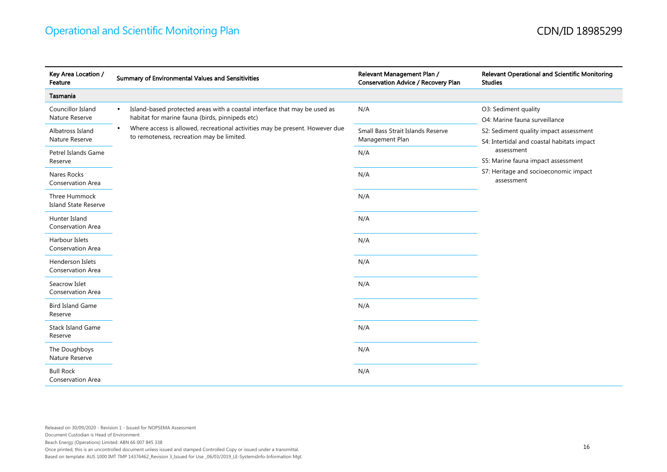| Key Area Location /<br>Feature               | Summary of Environmental Values and Sensitivities                                                                                         | Relevant Management Plan /<br>Conservation Advice / Recovery Plan | Relevant Operational and Scientific Monitoring<br><b>Studies</b>                     |
|----------------------------------------------|-------------------------------------------------------------------------------------------------------------------------------------------|-------------------------------------------------------------------|--------------------------------------------------------------------------------------|
| Tasmania                                     |                                                                                                                                           |                                                                   |                                                                                      |
| Councillor Island<br>Nature Reserve          | Island-based protected areas with a coastal interface that may be used as<br>$\bullet$<br>habitat for marine fauna (birds, pinnipeds etc) | N/A                                                               | O3: Sediment quality<br>O4: Marine fauna surveillance                                |
| Albatross Island<br>Nature Reserve           | Where access is allowed, recreational activities may be present. However due<br>$\bullet$<br>to remoteness, recreation may be limited.    | Small Bass Strait Islands Reserve<br>Management Plan              | S2: Sediment quality impact assessment<br>S4: Intertidal and coastal habitats impact |
| Petrel Islands Game<br>Reserve               |                                                                                                                                           | N/A                                                               | assessment<br>S5: Marine fauna impact assessment                                     |
| Nares Rocks<br><b>Conservation Area</b>      |                                                                                                                                           | N/A                                                               | S7: Heritage and socioeconomic impact<br>assessment                                  |
| Three Hummock<br><b>Island State Reserve</b> |                                                                                                                                           | N/A                                                               |                                                                                      |
| Hunter Island<br>Conservation Area           |                                                                                                                                           | N/A                                                               |                                                                                      |
| Harbour Islets<br>Conservation Area          |                                                                                                                                           | N/A                                                               |                                                                                      |
| Henderson Islets<br><b>Conservation Area</b> |                                                                                                                                           | N/A                                                               |                                                                                      |
| Seacrow Islet<br>Conservation Area           |                                                                                                                                           | N/A                                                               |                                                                                      |
| <b>Bird Island Game</b><br>Reserve           |                                                                                                                                           | N/A                                                               |                                                                                      |
| <b>Stack Island Game</b><br>Reserve          |                                                                                                                                           | N/A                                                               |                                                                                      |
| The Doughboys<br>Nature Reserve              |                                                                                                                                           | N/A                                                               |                                                                                      |
| <b>Bull Rock</b><br><b>Conservation Area</b> |                                                                                                                                           | N/A                                                               |                                                                                      |

Beach Energy (Operations) Limited: ABN 66 007 845 338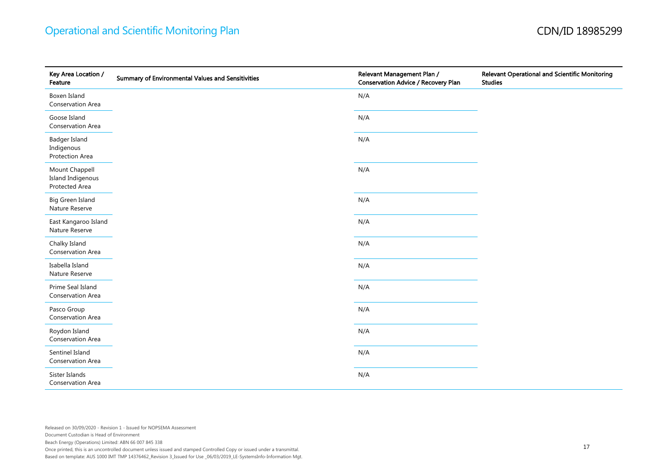| Key Area Location /<br>Feature                        | Summary of Environmental Values and Sensitivities | Relevant Management Plan /<br><b>Conservation Advice / Recovery Plan</b> | Relevant Operational and Scientific Monitoring<br><b>Studies</b> |
|-------------------------------------------------------|---------------------------------------------------|--------------------------------------------------------------------------|------------------------------------------------------------------|
| Boxen Island<br>Conservation Area                     |                                                   | N/A                                                                      |                                                                  |
| Goose Island<br>Conservation Area                     |                                                   | N/A                                                                      |                                                                  |
| Badger Island<br>Indigenous<br>Protection Area        |                                                   | N/A                                                                      |                                                                  |
| Mount Chappell<br>Island Indigenous<br>Protected Area |                                                   | N/A                                                                      |                                                                  |
| <b>Big Green Island</b><br>Nature Reserve             |                                                   | N/A                                                                      |                                                                  |
| East Kangaroo Island<br>Nature Reserve                |                                                   | N/A                                                                      |                                                                  |
| Chalky Island<br>Conservation Area                    |                                                   | N/A                                                                      |                                                                  |
| Isabella Island<br>Nature Reserve                     |                                                   | N/A                                                                      |                                                                  |
| Prime Seal Island<br>Conservation Area                |                                                   | N/A                                                                      |                                                                  |
| Pasco Group<br>Conservation Area                      |                                                   | N/A                                                                      |                                                                  |
| Roydon Island<br>Conservation Area                    |                                                   | N/A                                                                      |                                                                  |
| Sentinel Island<br>Conservation Area                  |                                                   | N/A                                                                      |                                                                  |
| Sister Islands<br>Conservation Area                   |                                                   | N/A                                                                      |                                                                  |

Released on 30/09/2020 - Revision 1 - Issued for NOPSEMA Assessment Document Custodian is Head of Environment Beach Energy (Operations) Limited: ABN 66 007 845 338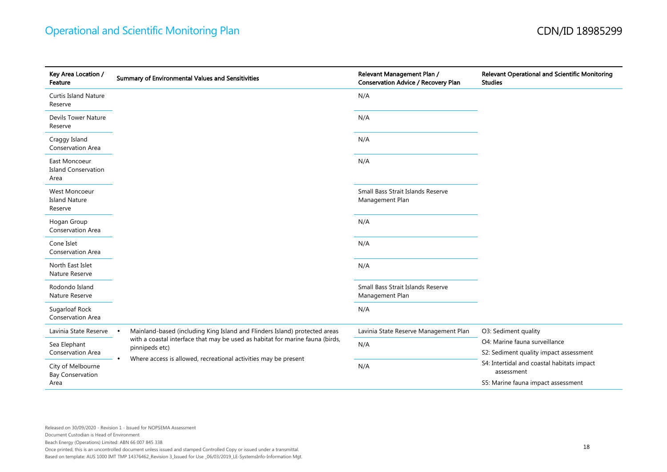| Key Area Location /<br>Feature                      | Summary of Environmental Values and Sensitivities                                 | Relevant Management Plan /<br>Conservation Advice / Recovery Plan | Relevant Operational and Scientific Monitoring<br><b>Studies</b> |
|-----------------------------------------------------|-----------------------------------------------------------------------------------|-------------------------------------------------------------------|------------------------------------------------------------------|
| Curtis Island Nature<br>Reserve                     |                                                                                   | N/A                                                               |                                                                  |
| <b>Devils Tower Nature</b><br>Reserve               |                                                                                   | N/A                                                               |                                                                  |
| Craggy Island<br>Conservation Area                  |                                                                                   | N/A                                                               |                                                                  |
| East Moncoeur<br><b>Island Conservation</b><br>Area |                                                                                   | N/A                                                               |                                                                  |
| West Moncoeur<br><b>Island Nature</b><br>Reserve    |                                                                                   | Small Bass Strait Islands Reserve<br>Management Plan              |                                                                  |
| Hogan Group<br>Conservation Area                    |                                                                                   | N/A                                                               |                                                                  |
| Cone Islet<br><b>Conservation Area</b>              |                                                                                   | N/A                                                               |                                                                  |
| North East Islet<br>Nature Reserve                  |                                                                                   | N/A                                                               |                                                                  |
| Rodondo Island<br>Nature Reserve                    |                                                                                   | Small Bass Strait Islands Reserve<br>Management Plan              |                                                                  |
| Sugarloaf Rock<br>Conservation Area                 |                                                                                   | N/A                                                               |                                                                  |
| Lavinia State Reserve                               | Mainland-based (including King Island and Flinders Island) protected areas        | Lavinia State Reserve Management Plan                             | O3: Sediment quality                                             |
| Sea Elephant                                        | with a coastal interface that may be used as habitat for marine fauna (birds,     | N/A                                                               | O4: Marine fauna surveillance                                    |
| <b>Conservation Area</b>                            | pinnipeds etc)<br>Where access is allowed, recreational activities may be present |                                                                   | S2: Sediment quality impact assessment                           |
| City of Melbourne<br><b>Bay Conservation</b>        |                                                                                   | N/A                                                               | S4: Intertidal and coastal habitats impact<br>assessment         |
| Area                                                |                                                                                   |                                                                   | S5: Marine fauna impact assessment                               |

Beach Energy (Operations) Limited: ABN 66 007 845 338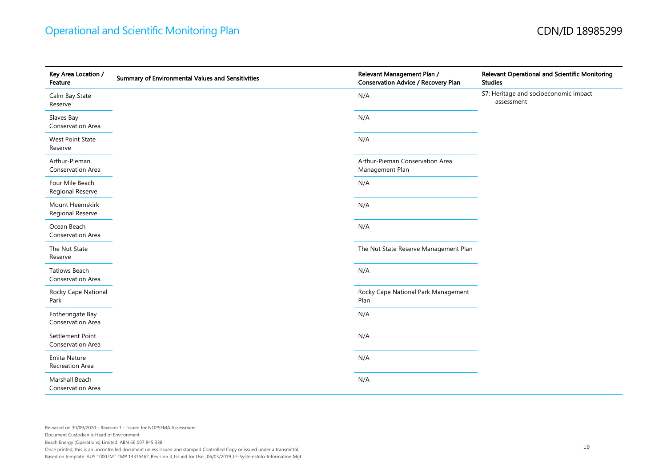| Key Area Location /<br>Feature               | Summary of Environmental Values and Sensitivities | Relevant Management Plan /<br>Conservation Advice / Recovery Plan | Relevant Operational and Scientific Monitoring<br><b>Studies</b> |
|----------------------------------------------|---------------------------------------------------|-------------------------------------------------------------------|------------------------------------------------------------------|
| Calm Bay State<br>Reserve                    |                                                   | N/A                                                               | S7: Heritage and socioeconomic impact<br>assessment              |
| Slaves Bay<br><b>Conservation Area</b>       |                                                   | N/A                                                               |                                                                  |
| West Point State<br>Reserve                  |                                                   | N/A                                                               |                                                                  |
| Arthur-Pieman<br>Conservation Area           |                                                   | Arthur-Pieman Conservation Area<br>Management Plan                |                                                                  |
| Four Mile Beach<br>Regional Reserve          |                                                   | N/A                                                               |                                                                  |
| Mount Heemskirk<br>Regional Reserve          |                                                   | N/A                                                               |                                                                  |
| Ocean Beach<br>Conservation Area             |                                                   | N/A                                                               |                                                                  |
| The Nut State<br>Reserve                     |                                                   | The Nut State Reserve Management Plan                             |                                                                  |
| <b>Tatlows Beach</b><br>Conservation Area    |                                                   | N/A                                                               |                                                                  |
| Rocky Cape National<br>Park                  |                                                   | Rocky Cape National Park Management<br>Plan                       |                                                                  |
| Fotheringate Bay<br>Conservation Area        |                                                   | N/A                                                               |                                                                  |
| Settlement Point<br><b>Conservation Area</b> |                                                   | N/A                                                               |                                                                  |
| Emita Nature<br>Recreation Area              |                                                   | N/A                                                               |                                                                  |
| Marshall Beach<br>Conservation Area          |                                                   | N/A                                                               |                                                                  |

Based on template: AUS 1000 IMT TMP 14376462\_Revision 3\_Issued for Use \_06/03/2019\_LE-SystemsInfo-Information Mgt.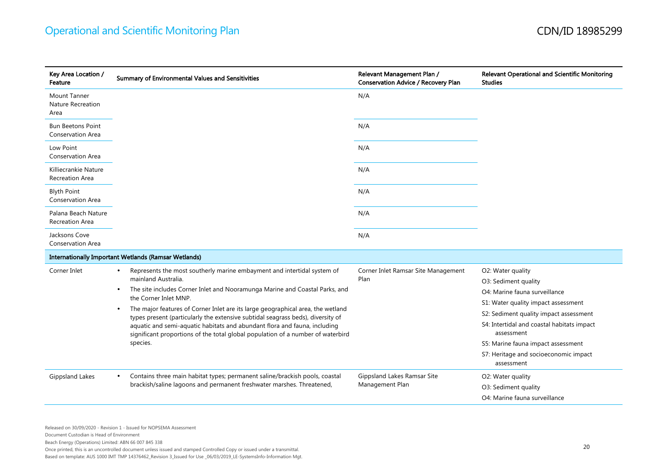| Key Area Location /<br>Feature                       | Summary of Environmental Values and Sensitivities                                                                                                                                                                                                                                                                                                                                                                                                                                                                                                              | Relevant Management Plan /<br>Conservation Advice / Recovery Plan | Relevant Operational and Scientific Monitoring<br><b>Studies</b>                                                                                                                                                        |
|------------------------------------------------------|----------------------------------------------------------------------------------------------------------------------------------------------------------------------------------------------------------------------------------------------------------------------------------------------------------------------------------------------------------------------------------------------------------------------------------------------------------------------------------------------------------------------------------------------------------------|-------------------------------------------------------------------|-------------------------------------------------------------------------------------------------------------------------------------------------------------------------------------------------------------------------|
| <b>Mount Tanner</b><br>Nature Recreation<br>Area     |                                                                                                                                                                                                                                                                                                                                                                                                                                                                                                                                                                | N/A                                                               |                                                                                                                                                                                                                         |
| <b>Bun Beetons Point</b><br><b>Conservation Area</b> |                                                                                                                                                                                                                                                                                                                                                                                                                                                                                                                                                                | N/A                                                               |                                                                                                                                                                                                                         |
| Low Point<br><b>Conservation Area</b>                |                                                                                                                                                                                                                                                                                                                                                                                                                                                                                                                                                                | N/A                                                               |                                                                                                                                                                                                                         |
| Killiecrankie Nature<br>Recreation Area              |                                                                                                                                                                                                                                                                                                                                                                                                                                                                                                                                                                | N/A                                                               |                                                                                                                                                                                                                         |
| <b>Blyth Point</b><br><b>Conservation Area</b>       |                                                                                                                                                                                                                                                                                                                                                                                                                                                                                                                                                                | N/A                                                               |                                                                                                                                                                                                                         |
| Palana Beach Nature<br><b>Recreation Area</b>        |                                                                                                                                                                                                                                                                                                                                                                                                                                                                                                                                                                | N/A                                                               |                                                                                                                                                                                                                         |
| Jacksons Cove<br><b>Conservation Area</b>            |                                                                                                                                                                                                                                                                                                                                                                                                                                                                                                                                                                | N/A                                                               |                                                                                                                                                                                                                         |
|                                                      | Internationally Important Wetlands (Ramsar Wetlands)                                                                                                                                                                                                                                                                                                                                                                                                                                                                                                           |                                                                   |                                                                                                                                                                                                                         |
| Corner Inlet                                         | Represents the most southerly marine embayment and intertidal system of<br>$\bullet$<br>mainland Australia.<br>The site includes Corner Inlet and Nooramunga Marine and Coastal Parks, and<br>٠<br>the Corner Inlet MNP.<br>The major features of Corner Inlet are its large geographical area, the wetland<br>types present (particularly the extensive subtidal seagrass beds), diversity of<br>aquatic and semi-aquatic habitats and abundant flora and fauna, including<br>significant proportions of the total global population of a number of waterbird | Corner Inlet Ramsar Site Management<br>Plan                       | O2: Water quality<br>O3: Sediment quality<br>O4: Marine fauna surveillance<br>S1: Water quality impact assessment<br>S2: Sediment quality impact assessment<br>S4: Intertidal and coastal habitats impact<br>assessment |
|                                                      | species.                                                                                                                                                                                                                                                                                                                                                                                                                                                                                                                                                       |                                                                   | S5: Marine fauna impact assessment<br>S7: Heritage and socioeconomic impact<br>assessment                                                                                                                               |
| <b>Gippsland Lakes</b>                               | Contains three main habitat types; permanent saline/brackish pools, coastal<br>$\bullet$<br>brackish/saline lagoons and permanent freshwater marshes. Threatened,                                                                                                                                                                                                                                                                                                                                                                                              | Gippsland Lakes Ramsar Site<br>Management Plan                    | O2: Water quality<br>O3: Sediment quality                                                                                                                                                                               |
|                                                      |                                                                                                                                                                                                                                                                                                                                                                                                                                                                                                                                                                |                                                                   | O4: Marine fauna surveillance                                                                                                                                                                                           |

Document Custodian is Head of Environment

Beach Energy (Operations) Limited: ABN 66 007 845 338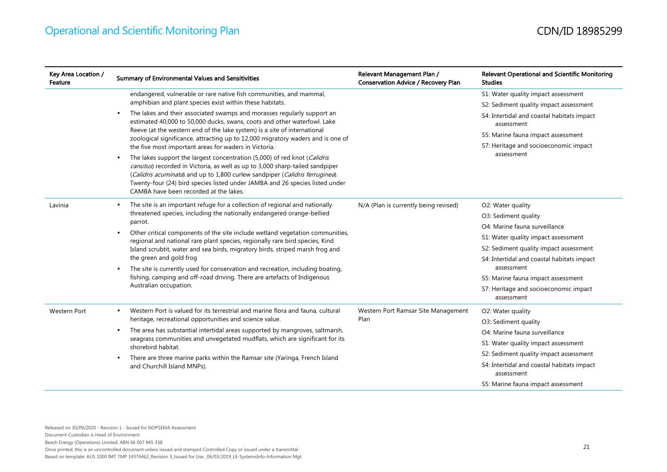| Key Area Location /<br>Feature | Summary of Environmental Values and Sensitivities                                                                                                                                                                                                                                                                                                                                                                                                                       | Relevant Management Plan /<br>Conservation Advice / Recovery Plan | Relevant Operational and Scientific Monitoring<br><b>Studies</b> |
|--------------------------------|-------------------------------------------------------------------------------------------------------------------------------------------------------------------------------------------------------------------------------------------------------------------------------------------------------------------------------------------------------------------------------------------------------------------------------------------------------------------------|-------------------------------------------------------------------|------------------------------------------------------------------|
|                                | endangered, vulnerable or rare native fish communities, and mammal,                                                                                                                                                                                                                                                                                                                                                                                                     |                                                                   | S1: Water quality impact assessment                              |
|                                | amphibian and plant species exist within these habitats.                                                                                                                                                                                                                                                                                                                                                                                                                |                                                                   | S2: Sediment quality impact assessment                           |
|                                | The lakes and their associated swamps and morasses regularly support an<br>$\bullet$<br>estimated 40,000 to 50,000 ducks, swans, coots and other waterfowl. Lake                                                                                                                                                                                                                                                                                                        |                                                                   | S4: Intertidal and coastal habitats impact<br>assessment         |
|                                | Reeve (at the western end of the lake system) is a site of international<br>zoological significance, attracting up to 12,000 migratory waders and is one of                                                                                                                                                                                                                                                                                                             |                                                                   | S5: Marine fauna impact assessment                               |
|                                | the five most important areas for waders in Victoria.                                                                                                                                                                                                                                                                                                                                                                                                                   |                                                                   | S7: Heritage and socioeconomic impact                            |
|                                | The lakes support the largest concentration (5,000) of red knot (Calidris<br>canutus) recorded in Victoria, as well as up to 3,000 sharp-tailed sandpiper<br>(Calidris acuminata) and up to 1,800 curlew sandpiper (Calidris ferruginea).<br>Twenty-four (24) bird species listed under JAMBA and 26 species listed under<br>CAMBA have been recorded at the lakes.                                                                                                     |                                                                   | assessment                                                       |
| Lavinia                        | The site is an important refuge for a collection of regional and nationally<br>$\bullet$<br>threatened species, including the nationally endangered orange-bellied<br>parrot.<br>Other critical components of the site include wetland vegetation communities,<br>$\bullet$<br>regional and national rare plant species, regionally rare bird species, Kind<br>Island scrubtit, water and sea birds, migratory birds, striped marsh frog and<br>the green and gold frog | N/A (Plan is currently being revised)                             | O2: Water quality                                                |
|                                |                                                                                                                                                                                                                                                                                                                                                                                                                                                                         |                                                                   | O3: Sediment quality                                             |
|                                |                                                                                                                                                                                                                                                                                                                                                                                                                                                                         |                                                                   | O4: Marine fauna surveillance                                    |
|                                |                                                                                                                                                                                                                                                                                                                                                                                                                                                                         |                                                                   | S1: Water quality impact assessment                              |
|                                |                                                                                                                                                                                                                                                                                                                                                                                                                                                                         |                                                                   | S2: Sediment quality impact assessment                           |
|                                |                                                                                                                                                                                                                                                                                                                                                                                                                                                                         |                                                                   | S4: Intertidal and coastal habitats impact                       |
|                                | The site is currently used for conservation and recreation, including boating,<br>fishing, camping and off-road driving. There are artefacts of Indigenous<br>Australian occupation.                                                                                                                                                                                                                                                                                    |                                                                   | assessment                                                       |
|                                |                                                                                                                                                                                                                                                                                                                                                                                                                                                                         |                                                                   | S5: Marine fauna impact assessment                               |
|                                |                                                                                                                                                                                                                                                                                                                                                                                                                                                                         |                                                                   | S7: Heritage and socioeconomic impact<br>assessment              |
| <b>Western Port</b>            | Western Port is valued for its terrestrial and marine flora and fauna, cultural<br>$\bullet$                                                                                                                                                                                                                                                                                                                                                                            | Western Port Ramsar Site Management<br>Plan                       | O2: Water quality                                                |
|                                | heritage, recreational opportunities and science value.                                                                                                                                                                                                                                                                                                                                                                                                                 |                                                                   | O3: Sediment quality                                             |
|                                | The area has substantial intertidal areas supported by mangroves, saltmarsh,<br>$\bullet$                                                                                                                                                                                                                                                                                                                                                                               |                                                                   | O4: Marine fauna surveillance                                    |
|                                | seagrass communities and unvegetated mudflats, which are significant for its<br>shorebird habitat.                                                                                                                                                                                                                                                                                                                                                                      |                                                                   | S1: Water quality impact assessment                              |
|                                | There are three marine parks within the Ramsar site (Yaringa, French Island<br>$\bullet$                                                                                                                                                                                                                                                                                                                                                                                |                                                                   | S2: Sediment quality impact assessment                           |
|                                | and Churchill Island MNPs).                                                                                                                                                                                                                                                                                                                                                                                                                                             |                                                                   | S4: Intertidal and coastal habitats impact<br>assessment         |
|                                |                                                                                                                                                                                                                                                                                                                                                                                                                                                                         |                                                                   | S5: Marine fauna impact assessment                               |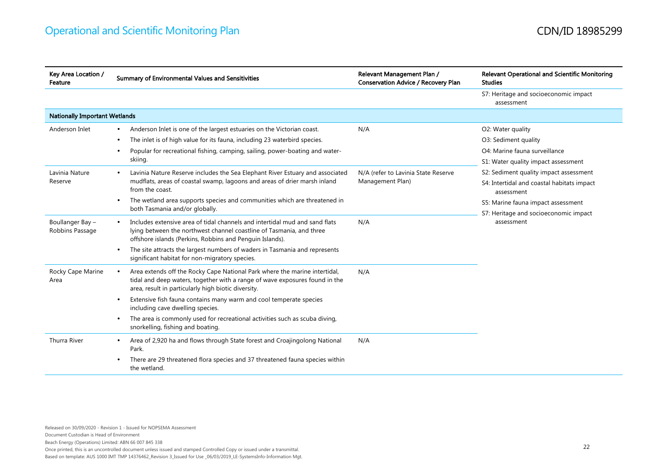| Key Area Location /<br>Feature       | Summary of Environmental Values and Sensitivities                                                                                                                                                                                                                                                                                                                                         | Relevant Management Plan /<br><b>Conservation Advice / Recovery Plan</b> | Relevant Operational and Scientific Monitoring<br><b>Studies</b>                                                                                                                                                                                                                                                     |
|--------------------------------------|-------------------------------------------------------------------------------------------------------------------------------------------------------------------------------------------------------------------------------------------------------------------------------------------------------------------------------------------------------------------------------------------|--------------------------------------------------------------------------|----------------------------------------------------------------------------------------------------------------------------------------------------------------------------------------------------------------------------------------------------------------------------------------------------------------------|
|                                      |                                                                                                                                                                                                                                                                                                                                                                                           |                                                                          | S7: Heritage and socioeconomic impact<br>assessment                                                                                                                                                                                                                                                                  |
| <b>Nationally Important Wetlands</b> |                                                                                                                                                                                                                                                                                                                                                                                           |                                                                          |                                                                                                                                                                                                                                                                                                                      |
| Anderson Inlet                       | Anderson Inlet is one of the largest estuaries on the Victorian coast.<br>$\bullet$<br>The inlet is of high value for its fauna, including 23 waterbird species.<br>$\bullet$<br>Popular for recreational fishing, camping, sailing, power-boating and water-<br>$\bullet$<br>skiing.                                                                                                     | N/A                                                                      | O2: Water quality<br>O3: Sediment quality<br>O4: Marine fauna surveillance<br>S1: Water quality impact assessment<br>S2: Sediment quality impact assessment<br>S4: Intertidal and coastal habitats impact<br>assessment<br>S5: Marine fauna impact assessment<br>S7: Heritage and socioeconomic impact<br>assessment |
| Lavinia Nature<br>Reserve            | Lavinia Nature Reserve includes the Sea Elephant River Estuary and associated<br>mudflats, areas of coastal swamp, lagoons and areas of drier marsh inland<br>from the coast.<br>The wetland area supports species and communities which are threatened in<br>$\bullet$                                                                                                                   | N/A (refer to Lavinia State Reserve<br>Management Plan)                  |                                                                                                                                                                                                                                                                                                                      |
| Boullanger Bay -<br>Robbins Passage  | both Tasmania and/or globally.<br>Includes extensive area of tidal channels and intertidal mud and sand flats<br>lying between the northwest channel coastline of Tasmania, and three<br>offshore islands (Perkins, Robbins and Penguin Islands).<br>The site attracts the largest numbers of waders in Tasmania and represents<br>$\bullet$                                              | N/A                                                                      |                                                                                                                                                                                                                                                                                                                      |
| Rocky Cape Marine<br>Area            | significant habitat for non-migratory species.<br>Area extends off the Rocky Cape National Park where the marine intertidal,<br>tidal and deep waters, together with a range of wave exposures found in the<br>area, result in particularly high biotic diversity.<br>Extensive fish fauna contains many warm and cool temperate species<br>$\bullet$<br>including cave dwelling species. | N/A                                                                      |                                                                                                                                                                                                                                                                                                                      |
|                                      | The area is commonly used for recreational activities such as scuba diving,<br>$\bullet$<br>snorkelling, fishing and boating.                                                                                                                                                                                                                                                             |                                                                          |                                                                                                                                                                                                                                                                                                                      |
| <b>Thurra River</b>                  | Area of 2,920 ha and flows through State forest and Croajingolong National<br>$\bullet$<br>Park.<br>There are 29 threatened flora species and 37 threatened fauna species within<br>the wetland.                                                                                                                                                                                          | N/A                                                                      |                                                                                                                                                                                                                                                                                                                      |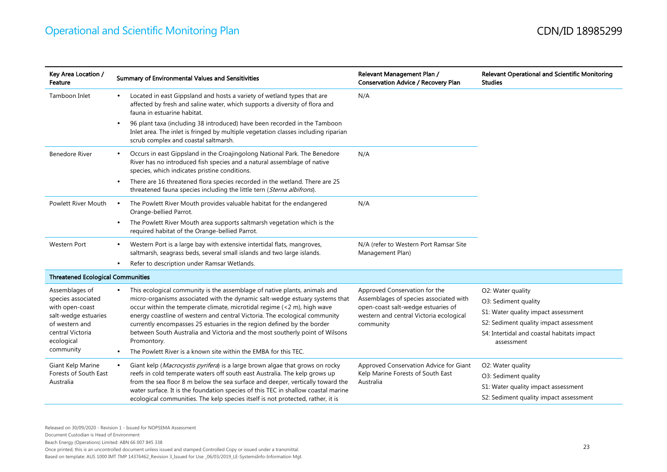| Key Area Location /<br>Feature                                                                                                                   | <b>Summary of Environmental Values and Sensitivities</b>                                                                                                                                                                                                                                                                                                                                                                                                                                                                                                                   | Relevant Management Plan /<br>Conservation Advice / Recovery Plan                                                                                                     | Relevant Operational and Scientific Monitoring<br><b>Studies</b>                                                                                                                       |
|--------------------------------------------------------------------------------------------------------------------------------------------------|----------------------------------------------------------------------------------------------------------------------------------------------------------------------------------------------------------------------------------------------------------------------------------------------------------------------------------------------------------------------------------------------------------------------------------------------------------------------------------------------------------------------------------------------------------------------------|-----------------------------------------------------------------------------------------------------------------------------------------------------------------------|----------------------------------------------------------------------------------------------------------------------------------------------------------------------------------------|
| Tamboon Inlet                                                                                                                                    | Located in east Gippsland and hosts a variety of wetland types that are<br>$\bullet$<br>affected by fresh and saline water, which supports a diversity of flora and<br>fauna in estuarine habitat.                                                                                                                                                                                                                                                                                                                                                                         | N/A                                                                                                                                                                   |                                                                                                                                                                                        |
|                                                                                                                                                  | 96 plant taxa (including 38 introduced) have been recorded in the Tamboon<br>$\bullet$<br>Inlet area. The inlet is fringed by multiple vegetation classes including riparian<br>scrub complex and coastal saltmarsh.                                                                                                                                                                                                                                                                                                                                                       |                                                                                                                                                                       |                                                                                                                                                                                        |
| <b>Benedore River</b>                                                                                                                            | Occurs in east Gippsland in the Croajingolong National Park. The Benedore<br>$\bullet$<br>River has no introduced fish species and a natural assemblage of native<br>species, which indicates pristine conditions.                                                                                                                                                                                                                                                                                                                                                         | N/A                                                                                                                                                                   |                                                                                                                                                                                        |
|                                                                                                                                                  | There are 16 threatened flora species recorded in the wetland. There are 25<br>$\bullet$<br>threatened fauna species including the little tern (Sterna albifrons).                                                                                                                                                                                                                                                                                                                                                                                                         |                                                                                                                                                                       |                                                                                                                                                                                        |
| Powlett River Mouth                                                                                                                              | The Powlett River Mouth provides valuable habitat for the endangered<br>$\bullet$<br>Orange-bellied Parrot.                                                                                                                                                                                                                                                                                                                                                                                                                                                                | N/A                                                                                                                                                                   |                                                                                                                                                                                        |
|                                                                                                                                                  | The Powlett River Mouth area supports saltmarsh vegetation which is the<br>$\bullet$<br>required habitat of the Orange-bellied Parrot.                                                                                                                                                                                                                                                                                                                                                                                                                                     |                                                                                                                                                                       |                                                                                                                                                                                        |
| <b>Western Port</b>                                                                                                                              | Western Port is a large bay with extensive intertidal flats, mangroves,<br>$\bullet$<br>saltmarsh, seagrass beds, several small islands and two large islands.                                                                                                                                                                                                                                                                                                                                                                                                             | N/A (refer to Western Port Ramsar Site<br>Management Plan)                                                                                                            |                                                                                                                                                                                        |
|                                                                                                                                                  | Refer to description under Ramsar Wetlands.<br>$\bullet$                                                                                                                                                                                                                                                                                                                                                                                                                                                                                                                   |                                                                                                                                                                       |                                                                                                                                                                                        |
| <b>Threatened Ecological Communities</b>                                                                                                         |                                                                                                                                                                                                                                                                                                                                                                                                                                                                                                                                                                            |                                                                                                                                                                       |                                                                                                                                                                                        |
| Assemblages of<br>species associated<br>with open-coast<br>salt-wedge estuaries<br>of western and<br>central Victoria<br>ecological<br>community | This ecological community is the assemblage of native plants, animals and<br>micro-organisms associated with the dynamic salt-wedge estuary systems that<br>occur within the temperate climate, microtidal regime (<2 m), high wave<br>energy coastline of western and central Victoria. The ecological community<br>currently encompasses 25 estuaries in the region defined by the border<br>between South Australia and Victoria and the most southerly point of Wilsons<br>Promontory.<br>The Powlett River is a known site within the EMBA for this TEC.<br>$\bullet$ | Approved Conservation for the<br>Assemblages of species associated with<br>open-coast salt-wedge estuaries of<br>western and central Victoria ecological<br>community | O2: Water quality<br>O3: Sediment quality<br>S1: Water quality impact assessment<br>S2: Sediment quality impact assessment<br>S4: Intertidal and coastal habitats impact<br>assessment |
| Giant Kelp Marine<br>Forests of South East<br>Australia                                                                                          | Giant kelp (Macrocystis pyrifera) is a large brown algae that grows on rocky<br>reefs in cold temperate waters off south east Australia. The kelp grows up<br>from the sea floor 8 m below the sea surface and deeper, vertically toward the<br>water surface. It is the foundation species of this TEC in shallow coastal marine<br>ecological communities. The kelp species itself is not protected, rather, it is                                                                                                                                                       | Approved Conservation Advice for Giant<br>Kelp Marine Forests of South East<br>Australia                                                                              | O2: Water quality<br>O3: Sediment quality<br>S1: Water quality impact assessment<br>S2: Sediment quality impact assessment                                                             |

Document Custodian is Head of Environment

Beach Energy (Operations) Limited: ABN 66 007 845 338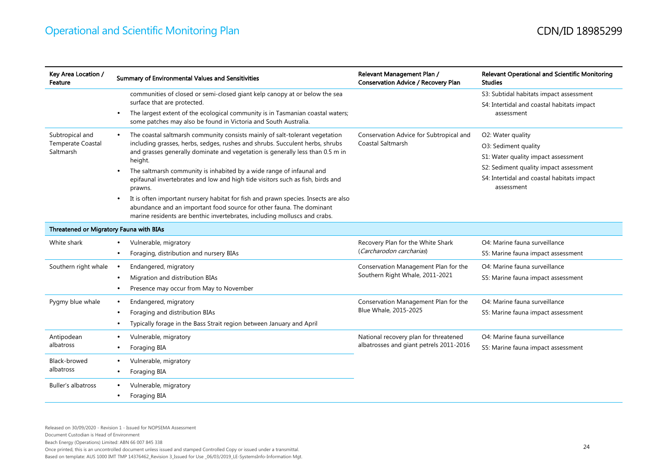| Key Area Location /<br>Feature          | Summary of Environmental Values and Sensitivities                                                                                                                                                                                                    | Relevant Management Plan /<br><b>Conservation Advice / Recovery Plan</b> | Relevant Operational and Scientific Monitoring<br><b>Studies</b> |
|-----------------------------------------|------------------------------------------------------------------------------------------------------------------------------------------------------------------------------------------------------------------------------------------------------|--------------------------------------------------------------------------|------------------------------------------------------------------|
|                                         | communities of closed or semi-closed giant kelp canopy at or below the sea                                                                                                                                                                           |                                                                          | S3: Subtidal habitats impact assessment                          |
|                                         | surface that are protected.<br>The largest extent of the ecological community is in Tasmanian coastal waters;<br>$\bullet$                                                                                                                           |                                                                          | S4: Intertidal and coastal habitats impact<br>assessment         |
|                                         | some patches may also be found in Victoria and South Australia.                                                                                                                                                                                      |                                                                          |                                                                  |
| Subtropical and                         | The coastal saltmarsh community consists mainly of salt-tolerant vegetation                                                                                                                                                                          | Conservation Advice for Subtropical and                                  | O2: Water quality                                                |
| Temperate Coastal<br>Saltmarsh          | including grasses, herbs, sedges, rushes and shrubs. Succulent herbs, shrubs<br>and grasses generally dominate and vegetation is generally less than 0.5 m in                                                                                        | Coastal Saltmarsh                                                        | O3: Sediment quality                                             |
|                                         | height.                                                                                                                                                                                                                                              |                                                                          | S1: Water quality impact assessment                              |
|                                         | The saltmarsh community is inhabited by a wide range of infaunal and<br>$\bullet$                                                                                                                                                                    |                                                                          | S2: Sediment quality impact assessment                           |
|                                         | epifaunal invertebrates and low and high tide visitors such as fish, birds and<br>prawns.                                                                                                                                                            |                                                                          | S4: Intertidal and coastal habitats impact<br>assessment         |
|                                         | It is often important nursery habitat for fish and prawn species. Insects are also<br>$\bullet$<br>abundance and an important food source for other fauna. The dominant<br>marine residents are benthic invertebrates, including molluscs and crabs. |                                                                          |                                                                  |
| Threatened or Migratory Fauna with BIAs |                                                                                                                                                                                                                                                      |                                                                          |                                                                  |
| White shark                             | Vulnerable, migratory                                                                                                                                                                                                                                | Recovery Plan for the White Shark<br>(Carcharodon carcharias)            | O4: Marine fauna surveillance                                    |
|                                         | Foraging, distribution and nursery BIAs<br>$\bullet$                                                                                                                                                                                                 |                                                                          | S5: Marine fauna impact assessment                               |
| Southern right whale                    | Endangered, migratory<br>$\bullet$                                                                                                                                                                                                                   | Conservation Management Plan for the                                     | O4: Marine fauna surveillance                                    |
|                                         | Migration and distribution BIAs<br>$\bullet$                                                                                                                                                                                                         | Southern Right Whale, 2011-2021                                          | S5: Marine fauna impact assessment                               |
|                                         | Presence may occur from May to November<br>$\bullet$                                                                                                                                                                                                 |                                                                          |                                                                  |
| Pygmy blue whale                        | Endangered, migratory<br>$\bullet$                                                                                                                                                                                                                   | Conservation Management Plan for the                                     | O4: Marine fauna surveillance                                    |
|                                         | Foraging and distribution BIAs                                                                                                                                                                                                                       | Blue Whale, 2015-2025                                                    | S5: Marine fauna impact assessment                               |
|                                         | Typically forage in the Bass Strait region between January and April                                                                                                                                                                                 |                                                                          |                                                                  |
| Antipodean                              | Vulnerable, migratory                                                                                                                                                                                                                                | National recovery plan for threatened                                    | O4: Marine fauna surveillance                                    |
| albatross                               | Foraging BIA<br>$\bullet$                                                                                                                                                                                                                            | albatrosses and giant petrels 2011-2016                                  | S5: Marine fauna impact assessment                               |
| Black-browed                            | Vulnerable, migratory                                                                                                                                                                                                                                |                                                                          |                                                                  |
| albatross                               | Foraging BIA<br>$\bullet$                                                                                                                                                                                                                            |                                                                          |                                                                  |
| <b>Buller's albatross</b>               | Vulnerable, migratory                                                                                                                                                                                                                                |                                                                          |                                                                  |
|                                         | Foraging BIA                                                                                                                                                                                                                                         |                                                                          |                                                                  |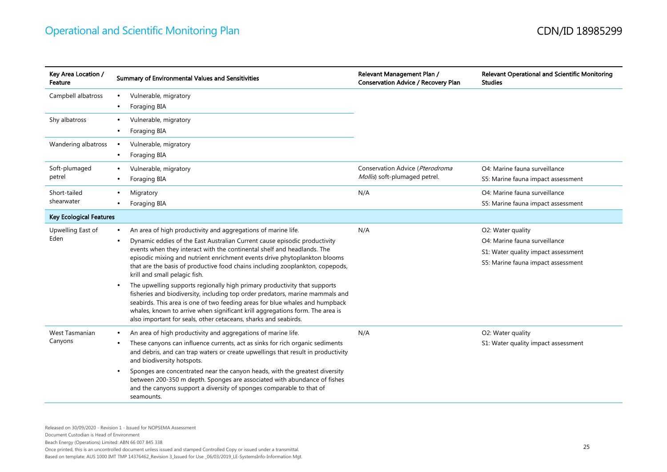| Key Area Location /<br>Feature | Summary of Environmental Values and Sensitivities                                                                                                                                                                                                                                                                                                                | Relevant Management Plan /<br><b>Conservation Advice / Recovery Plan</b> | <b>Relevant Operational and Scientific Monitoring</b><br><b>Studies</b> |
|--------------------------------|------------------------------------------------------------------------------------------------------------------------------------------------------------------------------------------------------------------------------------------------------------------------------------------------------------------------------------------------------------------|--------------------------------------------------------------------------|-------------------------------------------------------------------------|
| Campbell albatross             | Vulnerable, migratory<br>$\bullet$                                                                                                                                                                                                                                                                                                                               |                                                                          |                                                                         |
|                                | Foraging BIA                                                                                                                                                                                                                                                                                                                                                     |                                                                          |                                                                         |
| Shy albatross                  | Vulnerable, migratory<br>٠                                                                                                                                                                                                                                                                                                                                       |                                                                          |                                                                         |
|                                | Foraging BIA<br>$\bullet$                                                                                                                                                                                                                                                                                                                                        |                                                                          |                                                                         |
| Wandering albatross            | Vulnerable, migratory<br>$\bullet$                                                                                                                                                                                                                                                                                                                               |                                                                          |                                                                         |
|                                | Foraging BIA<br>$\bullet$                                                                                                                                                                                                                                                                                                                                        |                                                                          |                                                                         |
| Soft-plumaged                  | Vulnerable, migratory<br>$\bullet$                                                                                                                                                                                                                                                                                                                               | Conservation Advice (Pterodroma                                          | O4: Marine fauna surveillance                                           |
| petrel                         | Foraging BIA<br>$\bullet$                                                                                                                                                                                                                                                                                                                                        | Mollis) soft-plumaged petrel.                                            | S5: Marine fauna impact assessment                                      |
| Short-tailed                   | Migratory<br>$\bullet$                                                                                                                                                                                                                                                                                                                                           | N/A                                                                      | O4: Marine fauna surveillance                                           |
| shearwater                     | Foraging BIA                                                                                                                                                                                                                                                                                                                                                     |                                                                          | S5: Marine fauna impact assessment                                      |
| <b>Key Ecological Features</b> |                                                                                                                                                                                                                                                                                                                                                                  |                                                                          |                                                                         |
| Upwelling East of              | An area of high productivity and aggregations of marine life.<br>$\bullet$                                                                                                                                                                                                                                                                                       | N/A                                                                      | O2: Water quality                                                       |
| Eden                           | Dynamic eddies of the East Australian Current cause episodic productivity<br>$\bullet$<br>events when they interact with the continental shelf and headlands. The<br>episodic mixing and nutrient enrichment events drive phytoplankton blooms<br>that are the basis of productive food chains including zooplankton, copepods,<br>krill and small pelagic fish. |                                                                          | O4: Marine fauna surveillance                                           |
|                                |                                                                                                                                                                                                                                                                                                                                                                  |                                                                          | S1: Water quality impact assessment                                     |
|                                |                                                                                                                                                                                                                                                                                                                                                                  |                                                                          | S5: Marine fauna impact assessment                                      |
|                                | The upwelling supports regionally high primary productivity that supports<br>٠                                                                                                                                                                                                                                                                                   |                                                                          |                                                                         |
|                                | fisheries and biodiversity, including top order predators, marine mammals and<br>seabirds. This area is one of two feeding areas for blue whales and humpback                                                                                                                                                                                                    |                                                                          |                                                                         |
|                                | whales, known to arrive when significant krill aggregations form. The area is<br>also important for seals, other cetaceans, sharks and seabirds.                                                                                                                                                                                                                 |                                                                          |                                                                         |
| West Tasmanian                 | An area of high productivity and aggregations of marine life.                                                                                                                                                                                                                                                                                                    | N/A                                                                      | O2: Water quality                                                       |
| Canyons                        | These canyons can influence currents, act as sinks for rich organic sediments<br>$\bullet$                                                                                                                                                                                                                                                                       |                                                                          | S1: Water quality impact assessment                                     |
|                                | and debris, and can trap waters or create upwellings that result in productivity<br>and biodiversity hotspots.                                                                                                                                                                                                                                                   |                                                                          |                                                                         |
|                                | Sponges are concentrated near the canyon heads, with the greatest diversity<br>$\bullet$                                                                                                                                                                                                                                                                         |                                                                          |                                                                         |
|                                | between 200-350 m depth. Sponges are associated with abundance of fishes<br>and the canyons support a diversity of sponges comparable to that of<br>seamounts.                                                                                                                                                                                                   |                                                                          |                                                                         |

Document Custodian is Head of Environment

Beach Energy (Operations) Limited: ABN 66 007 845 338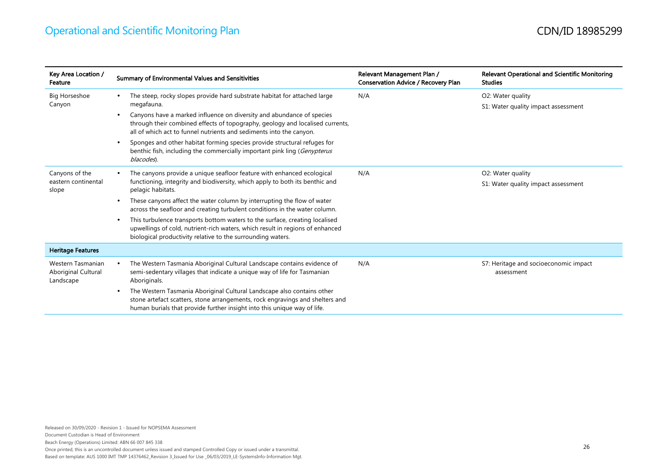| Key Area Location /<br>Feature                               | Summary of Environmental Values and Sensitivities                                                                                                                                                                                                | Relevant Management Plan /<br>Conservation Advice / Recovery Plan | <b>Relevant Operational and Scientific Monitoring</b><br><b>Studies</b> |
|--------------------------------------------------------------|--------------------------------------------------------------------------------------------------------------------------------------------------------------------------------------------------------------------------------------------------|-------------------------------------------------------------------|-------------------------------------------------------------------------|
| <b>Big Horseshoe</b><br>Canyon                               | The steep, rocky slopes provide hard substrate habitat for attached large<br>$\bullet$<br>megafauna.                                                                                                                                             | N/A                                                               | O2: Water quality<br>S1: Water quality impact assessment                |
|                                                              | Canyons have a marked influence on diversity and abundance of species<br>٠<br>through their combined effects of topography, geology and localised currents,<br>all of which act to funnel nutrients and sediments into the canyon.               |                                                                   |                                                                         |
|                                                              | Sponges and other habitat forming species provide structural refuges for<br>$\bullet$<br>benthic fish, including the commercially important pink ling (Genypterus<br>blacodes).                                                                  |                                                                   |                                                                         |
| Canyons of the                                               | The canyons provide a unique seafloor feature with enhanced ecological                                                                                                                                                                           | N/A                                                               | O2: Water quality                                                       |
| eastern continental<br>slope                                 | functioning, integrity and biodiversity, which apply to both its benthic and<br>pelagic habitats.                                                                                                                                                |                                                                   | S1: Water quality impact assessment                                     |
|                                                              | These canyons affect the water column by interrupting the flow of water<br>$\bullet$<br>across the seafloor and creating turbulent conditions in the water column.                                                                               |                                                                   |                                                                         |
|                                                              | This turbulence transports bottom waters to the surface, creating localised<br>$\bullet$<br>upwellings of cold, nutrient-rich waters, which result in regions of enhanced<br>biological productivity relative to the surrounding waters.         |                                                                   |                                                                         |
| <b>Heritage Features</b>                                     |                                                                                                                                                                                                                                                  |                                                                   |                                                                         |
| Western Tasmanian<br><b>Aboriginal Cultural</b><br>Landscape | The Western Tasmania Aboriginal Cultural Landscape contains evidence of<br>semi-sedentary villages that indicate a unique way of life for Tasmanian<br>Aboriginals.                                                                              | N/A                                                               | S7: Heritage and socioeconomic impact<br>assessment                     |
|                                                              | The Western Tasmania Aboriginal Cultural Landscape also contains other<br>$\bullet$<br>stone artefact scatters, stone arrangements, rock engravings and shelters and<br>human burials that provide further insight into this unique way of life. |                                                                   |                                                                         |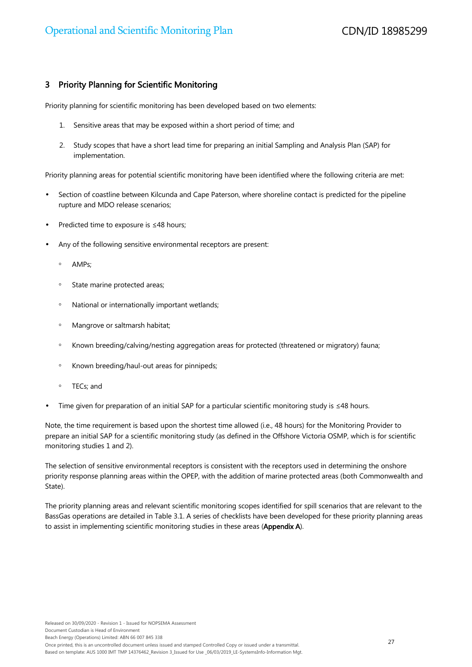#### 3 Priority Planning for Scientific Monitoring

Priority planning for scientific monitoring has been developed based on two elements:

- 1. Sensitive areas that may be exposed within a short period of time; and
- 2. Study scopes that have a short lead time for preparing an initial Sampling and Analysis Plan (SAP) for implementation.

Priority planning areas for potential scientific monitoring have been identified where the following criteria are met:

- Section of coastline between Kilcunda and Cape Paterson, where shoreline contact is predicted for the pipeline rupture and MDO release scenarios;
- Predicted time to exposure is ≤48 hours;
- Any of the following sensitive environmental receptors are present:
	- AMPs;
	- State marine protected areas;
	- National or internationally important wetlands;
	- Mangrove or saltmarsh habitat;
	- Known breeding/calving/nesting aggregation areas for protected (threatened or migratory) fauna;
	- Known breeding/haul-out areas for pinnipeds;
	- TECs; and
- Time given for preparation of an initial SAP for a particular scientific monitoring study is ≤48 hours.

Note, the time requirement is based upon the shortest time allowed (i.e., 48 hours) for the Monitoring Provider to prepare an initial SAP for a scientific monitoring study (as defined in the Offshore Victoria OSMP, which is for scientific monitoring studies 1 and 2).

The selection of sensitive environmental receptors is consistent with the receptors used in determining the onshore priority response planning areas within the OPEP, with the addition of marine protected areas (both Commonwealth and State).

The priority planning areas and relevant scientific monitoring scopes identified for spill scenarios that are relevant to the BassGas operations are detailed in Table 3.1. A series of checklists have been developed for these priority planning areas to assist in implementing scientific monitoring studies in these areas (Appendix A).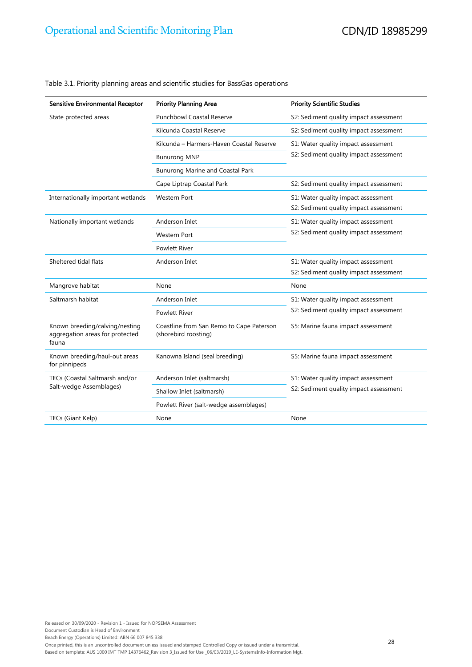| <b>Sensitive Environmental Receptor</b>                                    | <b>Priority Planning Area</b>                                    | <b>Priority Scientific Studies</b>     |
|----------------------------------------------------------------------------|------------------------------------------------------------------|----------------------------------------|
| State protected areas                                                      | <b>Punchbowl Coastal Reserve</b>                                 | S2: Sediment quality impact assessment |
|                                                                            | Kilcunda Coastal Reserve                                         | S2: Sediment quality impact assessment |
|                                                                            | Kilcunda - Harmers-Haven Coastal Reserve                         | S1: Water quality impact assessment    |
|                                                                            | <b>Bunurong MNP</b>                                              | S2: Sediment quality impact assessment |
|                                                                            | <b>Bunurong Marine and Coastal Park</b>                          |                                        |
|                                                                            | Cape Liptrap Coastal Park                                        | S2: Sediment quality impact assessment |
| Internationally important wetlands                                         | <b>Western Port</b>                                              | S1: Water quality impact assessment    |
|                                                                            |                                                                  | S2: Sediment quality impact assessment |
| Nationally important wetlands                                              | Anderson Inlet                                                   | S1: Water quality impact assessment    |
|                                                                            | <b>Western Port</b>                                              | S2: Sediment quality impact assessment |
|                                                                            | <b>Powlett River</b>                                             |                                        |
| Sheltered tidal flats                                                      | Anderson Inlet                                                   | S1: Water quality impact assessment    |
|                                                                            |                                                                  | S2: Sediment quality impact assessment |
| Mangrove habitat                                                           | None                                                             | None                                   |
| Saltmarsh habitat                                                          | Anderson Inlet                                                   | S1: Water quality impact assessment    |
|                                                                            | <b>Powlett River</b>                                             | S2: Sediment quality impact assessment |
| Known breeding/calving/nesting<br>aggregation areas for protected<br>fauna | Coastline from San Remo to Cape Paterson<br>(shorebird roosting) | S5: Marine fauna impact assessment     |
| Known breeding/haul-out areas<br>for pinnipeds                             | Kanowna Island (seal breeding)                                   | S5: Marine fauna impact assessment     |
| TECs (Coastal Saltmarsh and/or                                             | Anderson Inlet (saltmarsh)                                       | S1: Water quality impact assessment    |
| Salt-wedge Assemblages)                                                    | Shallow Inlet (saltmarsh)                                        | S2: Sediment quality impact assessment |
|                                                                            | Powlett River (salt-wedge assemblages)                           |                                        |
| TECs (Giant Kelp)                                                          | None                                                             | None                                   |

Table 3.1. Priority planning areas and scientific studies for BassGas operations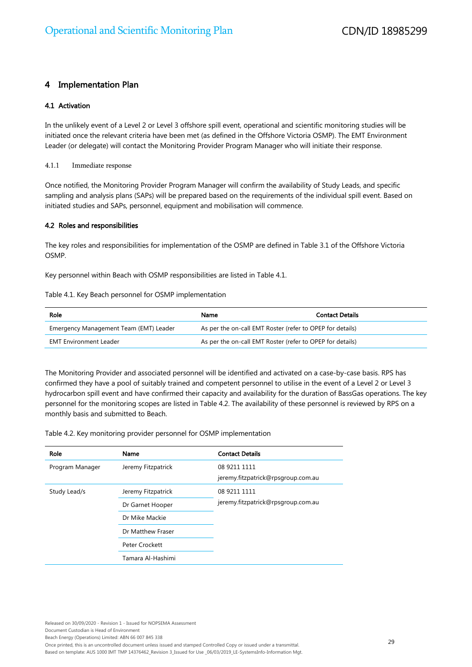#### 4 Implementation Plan

#### 4.1 Activation

In the unlikely event of a Level 2 or Level 3 offshore spill event, operational and scientific monitoring studies will be initiated once the relevant criteria have been met (as defined in the Offshore Victoria OSMP). The EMT Environment Leader (or delegate) will contact the Monitoring Provider Program Manager who will initiate their response.

4.1.1 Immediate response

Once notified, the Monitoring Provider Program Manager will confirm the availability of Study Leads, and specific sampling and analysis plans (SAPs) will be prepared based on the requirements of the individual spill event. Based on initiated studies and SAPs, personnel, equipment and mobilisation will commence.

#### 4.2 Roles and responsibilities

The key roles and responsibilities for implementation of the OSMP are defined in Table 3.1 of the Offshore Victoria OSMP.

Key personnel within Beach with OSMP responsibilities are listed in Table 4.1.

#### Table 4.1. Key Beach personnel for OSMP implementation

| Role                                   | Name                                                      | <b>Contact Details</b> |
|----------------------------------------|-----------------------------------------------------------|------------------------|
| Emergency Management Team (EMT) Leader | As per the on-call EMT Roster (refer to OPEP for details) |                        |
| <b>EMT Environment Leader</b>          | As per the on-call EMT Roster (refer to OPEP for details) |                        |

The Monitoring Provider and associated personnel will be identified and activated on a case-by-case basis. RPS has confirmed they have a pool of suitably trained and competent personnel to utilise in the event of a Level 2 or Level 3 hydrocarbon spill event and have confirmed their capacity and availability for the duration of BassGas operations. The key personnel for the monitoring scopes are listed in Table 4.2. The availability of these personnel is reviewed by RPS on a monthly basis and submitted to Beach.

Table 4.2. Key monitoring provider personnel for OSMP implementation

| Role            | Name               | <b>Contact Details</b>                             |
|-----------------|--------------------|----------------------------------------------------|
| Program Manager | Jeremy Fitzpatrick | 08 9211 1111<br>jeremy.fitzpatrick@rpsgroup.com.au |
| Study Lead/s    | Jeremy Fitzpatrick | 08 9211 1111                                       |
|                 | Dr Garnet Hooper   | jeremy.fitzpatrick@rpsgroup.com.au                 |
|                 | Dr Mike Mackie     |                                                    |
|                 | Dr Matthew Fraser  |                                                    |
|                 | Peter Crockett     |                                                    |
|                 | Tamara Al-Hashimi  |                                                    |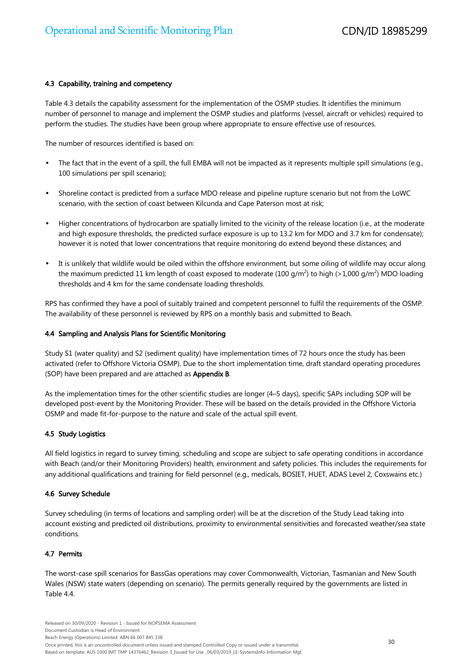#### 4.3 Capability, training and competency

Table 4.3 details the capability assessment for the implementation of the OSMP studies. It identifies the minimum number of personnel to manage and implement the OSMP studies and platforms (vessel, aircraft or vehicles) required to perform the studies. The studies have been group where appropriate to ensure effective use of resources.

The number of resources identified is based on:

- The fact that in the event of a spill, the full EMBA will not be impacted as it represents multiple spill simulations (e.g., 100 simulations per spill scenario);
- Shoreline contact is predicted from a surface MDO release and pipeline rupture scenario but not from the LoWC scenario, with the section of coast between Kilcunda and Cape Paterson most at risk;
- Higher concentrations of hydrocarbon are spatially limited to the vicinity of the release location (i.e., at the moderate and high exposure thresholds, the predicted surface exposure is up to 13.2 km for MDO and 3.7 km for condensate); however it is noted that lower concentrations that require monitoring do extend beyond these distances; and
- It is unlikely that wildlife would be oiled within the offshore environment, but some oiling of wildlife may occur along the maximum predicted 11 km length of coast exposed to moderate (100 g/m<sup>2</sup>) to high (>1,000 g/m<sup>2</sup>) MDO loading thresholds and 4 km for the same condensate loading thresholds.

RPS has confirmed they have a pool of suitably trained and competent personnel to fulfil the requirements of the OSMP. The availability of these personnel is reviewed by RPS on a monthly basis and submitted to Beach.

#### 4.4 Sampling and Analysis Plans for Scientific Monitoring

Study S1 (water quality) and S2 (sediment quality) have implementation times of 72 hours once the study has been activated (refer to Offshore Victoria OSMP). Due to the short implementation time, draft standard operating procedures (SOP) have been prepared and are attached as Appendix B.

As the implementation times for the other scientific studies are longer (4–5 days), specific SAPs including SOP will be developed post-event by the Monitoring Provider. These will be based on the details provided in the Offshore Victoria OSMP and made fit-for-purpose to the nature and scale of the actual spill event.

#### 4.5 Study Logistics

All field logistics in regard to survey timing, scheduling and scope are subject to safe operating conditions in accordance with Beach (and/or their Monitoring Providers) health, environment and safety policies. This includes the requirements for any additional qualifications and training for field personnel (e.g., medicals, BOSIET, HUET, ADAS Level 2, Coxswains etc.)

#### 4.6 Survey Schedule

Survey scheduling (in terms of locations and sampling order) will be at the discretion of the Study Lead taking into account existing and predicted oil distributions, proximity to environmental sensitivities and forecasted weather/sea state conditions.

#### 4.7 Permits

The worst-case spill scenarios for BassGas operations may cover Commonwealth, Victorian, Tasmanian and New South Wales (NSW) state waters (depending on scenario). The permits generally required by the governments are listed in Table 4.4.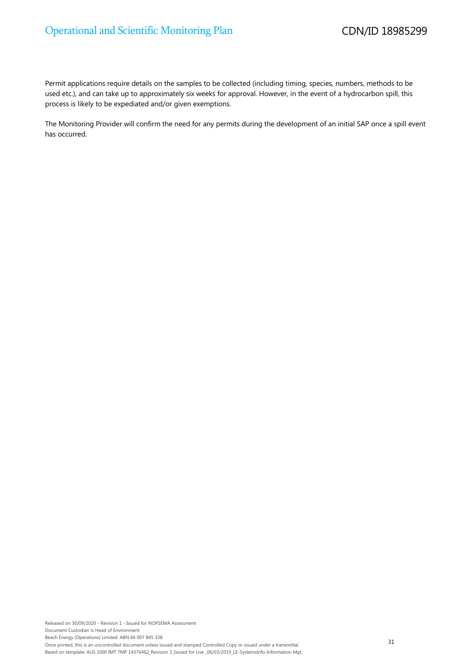Permit applications require details on the samples to be collected (including timing, species, numbers, methods to be used etc.), and can take up to approximately six weeks for approval. However, in the event of a hydrocarbon spill, this process is likely to be expediated and/or given exemptions.

The Monitoring Provider will confirm the need for any permits during the development of an initial SAP once a spill event has occurred.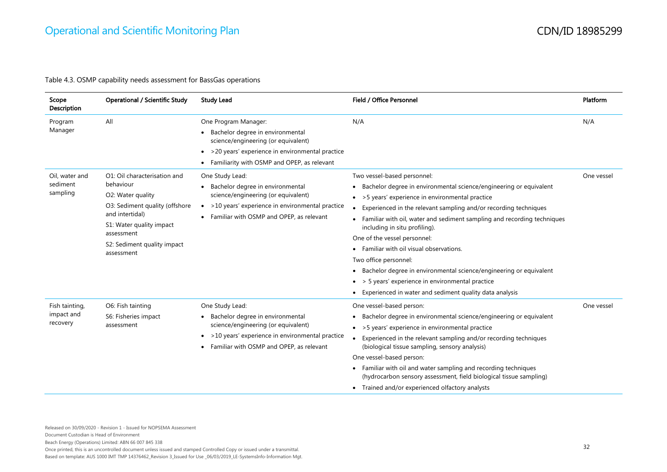Table 4.3. OSMP capability needs assessment for BassGas operations

| Scope<br><b>Description</b>              | <b>Operational / Scientific Study</b>                                                                                                                                                                      | <b>Study Lead</b>                                                                                                                                                                                              | Field / Office Personnel                                                                                                                                                                                                                                                                                                                                                                                                                                                                                                                                                                                                               | Platform   |
|------------------------------------------|------------------------------------------------------------------------------------------------------------------------------------------------------------------------------------------------------------|----------------------------------------------------------------------------------------------------------------------------------------------------------------------------------------------------------------|----------------------------------------------------------------------------------------------------------------------------------------------------------------------------------------------------------------------------------------------------------------------------------------------------------------------------------------------------------------------------------------------------------------------------------------------------------------------------------------------------------------------------------------------------------------------------------------------------------------------------------------|------------|
| Program<br>Manager                       | All                                                                                                                                                                                                        | One Program Manager:<br>Bachelor degree in environmental<br>science/engineering (or equivalent)<br>>20 years' experience in environmental practice<br>$\bullet$<br>Familiarity with OSMP and OPEP, as relevant | N/A                                                                                                                                                                                                                                                                                                                                                                                                                                                                                                                                                                                                                                    | N/A        |
| Oil, water and<br>sediment<br>sampling   | O1: Oil characterisation and<br>behaviour<br>O2: Water quality<br>O3: Sediment quality (offshore<br>and intertidal)<br>S1: Water quality impact<br>assessment<br>S2: Sediment quality impact<br>assessment | One Study Lead:<br>Bachelor degree in environmental<br>science/engineering (or equivalent)<br>>10 years' experience in environmental practice<br>$\bullet$<br>Familiar with OSMP and OPEP, as relevant         | Two vessel-based personnel:<br>Bachelor degree in environmental science/engineering or equivalent<br>• > 5 years' experience in environmental practice<br>Experienced in the relevant sampling and/or recording techniques<br>Familiar with oil, water and sediment sampling and recording techniques<br>٠<br>including in situ profiling).<br>One of the vessel personnel:<br>• Familiar with oil visual observations.<br>Two office personnel:<br>Bachelor degree in environmental science/engineering or equivalent<br>• > 5 years' experience in environmental practice<br>Experienced in water and sediment quality data analysis | One vessel |
| Fish tainting,<br>impact and<br>recovery | O6: Fish tainting<br>S6: Fisheries impact<br>assessment                                                                                                                                                    | One Study Lead:<br>Bachelor degree in environmental<br>science/engineering (or equivalent)<br>>10 years' experience in environmental practice<br>$\bullet$<br>Familiar with OSMP and OPEP, as relevant         | One vessel-based person:<br>Bachelor degree in environmental science/engineering or equivalent<br>• > 5 years' experience in environmental practice<br>Experienced in the relevant sampling and/or recording techniques<br>(biological tissue sampling, sensory analysis)<br>One vessel-based person:<br>• Familiar with oil and water sampling and recording techniques<br>(hydrocarbon sensory assessment, field biological tissue sampling)<br>• Trained and/or experienced olfactory analysts                                                                                                                                      | One vessel |

Based on template: AUS 1000 IMT TMP 14376462\_Revision 3\_Issued for Use \_06/03/2019\_LE-SystemsInfo-Information Mgt.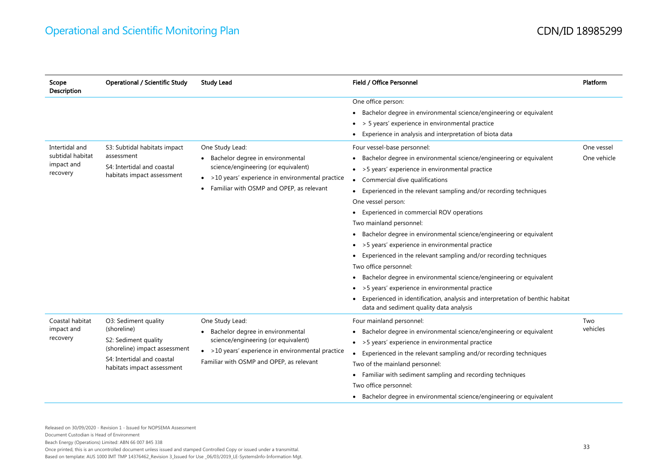| Scope<br><b>Description</b>                                  | <b>Operational / Scientific Study</b>                                                                                                                    | <b>Study Lead</b>                                                                                                                                                                            | Field / Office Personnel                                                                                                                                                                                                                                                                                                                                                                                                                                                                                                                                                                                                                                                                                                                                                                                                                                                                                                                                                                                                              | Platform                  |
|--------------------------------------------------------------|----------------------------------------------------------------------------------------------------------------------------------------------------------|----------------------------------------------------------------------------------------------------------------------------------------------------------------------------------------------|---------------------------------------------------------------------------------------------------------------------------------------------------------------------------------------------------------------------------------------------------------------------------------------------------------------------------------------------------------------------------------------------------------------------------------------------------------------------------------------------------------------------------------------------------------------------------------------------------------------------------------------------------------------------------------------------------------------------------------------------------------------------------------------------------------------------------------------------------------------------------------------------------------------------------------------------------------------------------------------------------------------------------------------|---------------------------|
| Intertidal and<br>subtidal habitat<br>impact and<br>recovery | S3: Subtidal habitats impact<br>assessment<br>S4: Intertidal and coastal<br>habitats impact assessment                                                   | One Study Lead:<br>Bachelor degree in environmental<br>science/engineering (or equivalent)<br>• > 10 years' experience in environmental practice<br>Familiar with OSMP and OPEP, as relevant | One office person:<br>• Bachelor degree in environmental science/engineering or equivalent<br>$\bullet$ > 5 years' experience in environmental practice<br>• Experience in analysis and interpretation of biota data<br>Four vessel-base personnel:<br>• Bachelor degree in environmental science/engineering or equivalent<br>• > 5 years' experience in environmental practice<br>• Commercial dive qualifications<br>• Experienced in the relevant sampling and/or recording techniques<br>One vessel person:<br>• Experienced in commercial ROV operations<br>Two mainland personnel:<br>• Bachelor degree in environmental science/engineering or equivalent<br>• > 5 years' experience in environmental practice<br>• Experienced in the relevant sampling and/or recording techniques<br>Two office personnel:<br>• Bachelor degree in environmental science/engineering or equivalent<br>• > 5 years' experience in environmental practice<br>• Experienced in identification, analysis and interpretation of benthic habitat | One vessel<br>One vehicle |
| Coastal habitat<br>impact and<br>recovery                    | O3: Sediment quality<br>(shoreline)<br>S2: Sediment quality<br>(shoreline) impact assessment<br>S4: Intertidal and coastal<br>habitats impact assessment | One Study Lead:<br>Bachelor degree in environmental<br>science/engineering (or equivalent)<br>• > 10 years' experience in environmental practice<br>Familiar with OSMP and OPEP, as relevant | data and sediment quality data analysis<br>Four mainland personnel:<br>• Bachelor degree in environmental science/engineering or equivalent<br>• > 5 years' experience in environmental practice<br>• Experienced in the relevant sampling and/or recording techniques<br>Two of the mainland personnel:<br>• Familiar with sediment sampling and recording techniques<br>Two office personnel:                                                                                                                                                                                                                                                                                                                                                                                                                                                                                                                                                                                                                                       | Two<br>vehicles           |

• Bachelor degree in environmental science/engineering or equivalent

Beach Energy (Operations) Limited: ABN 66 007 845 338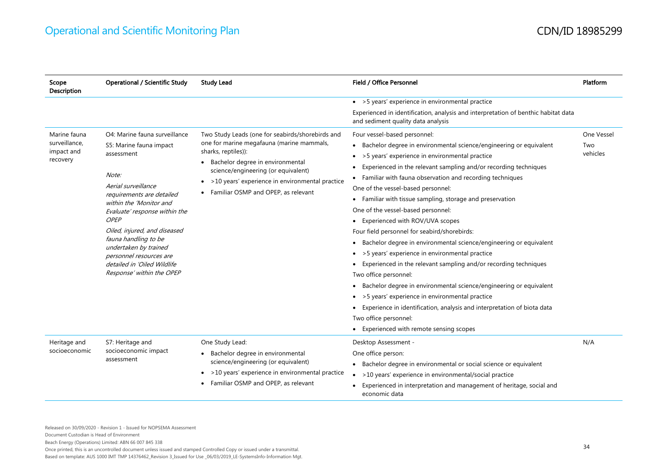| Scope<br>Description                                    | <b>Operational / Scientific Study</b>                                                                                                                                                                                                                                                                                                                                           | <b>Study Lead</b>                                                                                                                                                                                                                                                                                | Field / Office Personnel                                                                                                                                                                                                                                                                                                                                                                                                                                                                                                                                                                                                                                                                                                                                                                                                                                                                                                                                                                                                                          | Platform                      |
|---------------------------------------------------------|---------------------------------------------------------------------------------------------------------------------------------------------------------------------------------------------------------------------------------------------------------------------------------------------------------------------------------------------------------------------------------|--------------------------------------------------------------------------------------------------------------------------------------------------------------------------------------------------------------------------------------------------------------------------------------------------|---------------------------------------------------------------------------------------------------------------------------------------------------------------------------------------------------------------------------------------------------------------------------------------------------------------------------------------------------------------------------------------------------------------------------------------------------------------------------------------------------------------------------------------------------------------------------------------------------------------------------------------------------------------------------------------------------------------------------------------------------------------------------------------------------------------------------------------------------------------------------------------------------------------------------------------------------------------------------------------------------------------------------------------------------|-------------------------------|
|                                                         |                                                                                                                                                                                                                                                                                                                                                                                 |                                                                                                                                                                                                                                                                                                  | • > 5 years' experience in environmental practice                                                                                                                                                                                                                                                                                                                                                                                                                                                                                                                                                                                                                                                                                                                                                                                                                                                                                                                                                                                                 |                               |
|                                                         |                                                                                                                                                                                                                                                                                                                                                                                 |                                                                                                                                                                                                                                                                                                  | Experienced in identification, analysis and interpretation of benthic habitat data<br>and sediment quality data analysis                                                                                                                                                                                                                                                                                                                                                                                                                                                                                                                                                                                                                                                                                                                                                                                                                                                                                                                          |                               |
| Marine fauna<br>surveillance,<br>impact and<br>recovery | O4: Marine fauna surveillance<br>S5: Marine fauna impact<br>assessment<br>Note:<br>Aerial surveillance<br>requirements are detailed<br>within the 'Monitor and<br>Evaluate' response within the<br>OPEP<br>Oiled, injured, and diseased<br>fauna handling to be<br>undertaken by trained<br>personnel resources are<br>detailed in 'Oiled Wildlife<br>Response' within the OPEP | Two Study Leads (one for seabirds/shorebirds and<br>one for marine megafauna (marine mammals,<br>sharks, reptiles)):<br>Bachelor degree in environmental<br>science/engineering (or equivalent)<br>>10 years' experience in environmental practice<br>٠<br>• Familiar OSMP and OPEP, as relevant | Four vessel-based personnel:<br>• Bachelor degree in environmental science/engineering or equivalent<br>• > 5 years' experience in environmental practice<br>Experienced in the relevant sampling and/or recording techniques<br>$\bullet$<br>• Familiar with fauna observation and recording techniques<br>One of the vessel-based personnel:<br>• Familiar with tissue sampling, storage and preservation<br>One of the vessel-based personnel:<br>• Experienced with ROV/UVA scopes<br>Four field personnel for seabird/shorebirds:<br>• Bachelor degree in environmental science/engineering or equivalent<br>• > 5 years' experience in environmental practice<br>• Experienced in the relevant sampling and/or recording techniques<br>Two office personnel:<br>• Bachelor degree in environmental science/engineering or equivalent<br>• > 5 years' experience in environmental practice<br>• Experience in identification, analysis and interpretation of biota data<br>Two office personnel:<br>• Experienced with remote sensing scopes | One Vessel<br>Two<br>vehicles |
| Heritage and<br>socioeconomic                           | S7: Heritage and<br>socioeconomic impact<br>assessment                                                                                                                                                                                                                                                                                                                          | One Study Lead:<br>Bachelor degree in environmental<br>science/engineering (or equivalent)<br>>10 years' experience in environmental practice<br>$\bullet$<br>Familiar OSMP and OPEP, as relevant                                                                                                | Desktop Assessment -<br>One office person:<br>• Bachelor degree in environmental or social science or equivalent<br>• > 10 years' experience in environmental/social practice<br>• Experienced in interpretation and management of heritage, social and<br>economic data                                                                                                                                                                                                                                                                                                                                                                                                                                                                                                                                                                                                                                                                                                                                                                          | N/A                           |

Beach Energy (Operations) Limited: ABN 66 007 845 338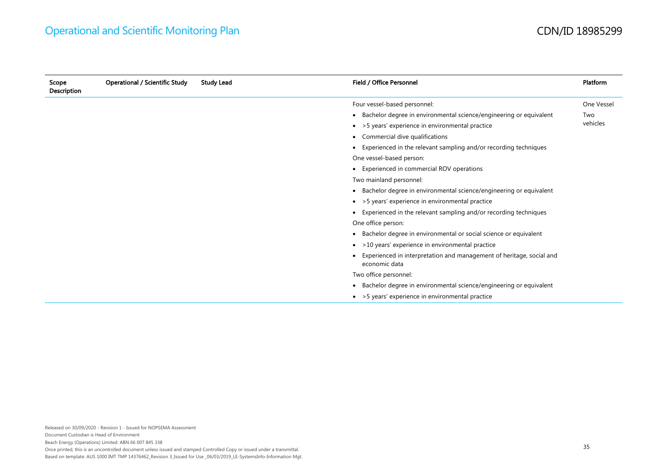| Scope<br>Description | <b>Operational / Scientific Study</b> | <b>Study Lead</b> | Field / Office Personnel                                                              | Platform   |
|----------------------|---------------------------------------|-------------------|---------------------------------------------------------------------------------------|------------|
|                      |                                       |                   | Four vessel-based personnel:                                                          | One Vessel |
|                      |                                       |                   | • Bachelor degree in environmental science/engineering or equivalent                  | Two        |
|                      |                                       |                   | • > 5 years' experience in environmental practice                                     | vehicles   |
|                      |                                       |                   | • Commercial dive qualifications                                                      |            |
|                      |                                       |                   | • Experienced in the relevant sampling and/or recording techniques                    |            |
|                      |                                       |                   | One vessel-based person:                                                              |            |
|                      |                                       |                   | • Experienced in commercial ROV operations                                            |            |
|                      |                                       |                   | Two mainland personnel:                                                               |            |
|                      |                                       |                   | • Bachelor degree in environmental science/engineering or equivalent                  |            |
|                      |                                       |                   | • > 5 years' experience in environmental practice                                     |            |
|                      |                                       |                   | • Experienced in the relevant sampling and/or recording techniques                    |            |
|                      |                                       |                   | One office person:                                                                    |            |
|                      |                                       |                   | • Bachelor degree in environmental or social science or equivalent                    |            |
|                      |                                       |                   | • > 10 years' experience in environmental practice                                    |            |
|                      |                                       |                   | Experienced in interpretation and management of heritage, social and<br>economic data |            |
|                      |                                       |                   | Two office personnel:                                                                 |            |
|                      |                                       |                   | • Bachelor degree in environmental science/engineering or equivalent                  |            |
|                      |                                       |                   | • > 5 years' experience in environmental practice                                     |            |
|                      |                                       |                   |                                                                                       |            |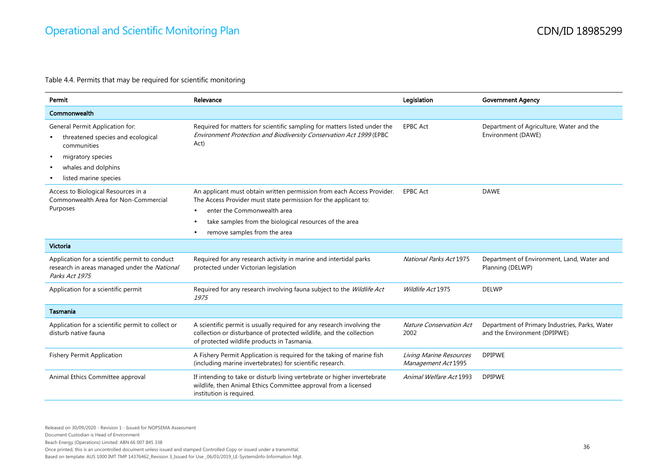Table 4.4. Permits that may be required for scientific monitoring

| Permit                                                                                                                                                   | Relevance                                                                                                                                                                                                                                                                       | Legislation                                    | <b>Government Agency</b>                                                       |
|----------------------------------------------------------------------------------------------------------------------------------------------------------|---------------------------------------------------------------------------------------------------------------------------------------------------------------------------------------------------------------------------------------------------------------------------------|------------------------------------------------|--------------------------------------------------------------------------------|
| Commonwealth                                                                                                                                             |                                                                                                                                                                                                                                                                                 |                                                |                                                                                |
| General Permit Application for:<br>threatened species and ecological<br>communities<br>migratory species<br>whales and dolphins<br>listed marine species | Required for matters for scientific sampling for matters listed under the<br>Environment Protection and Biodiversity Conservation Act 1999 (EPBC<br>Act)                                                                                                                        | <b>EPBC Act</b>                                | Department of Agriculture, Water and the<br>Environment (DAWE)                 |
| Access to Biological Resources in a<br>Commonwealth Area for Non-Commercial<br>Purposes                                                                  | An applicant must obtain written permission from each Access Provider.<br>The Access Provider must state permission for the applicant to:<br>enter the Commonwealth area<br>$\bullet$<br>take samples from the biological resources of the area<br>remove samples from the area | <b>EPBC Act</b>                                | <b>DAWE</b>                                                                    |
| Victoria                                                                                                                                                 |                                                                                                                                                                                                                                                                                 |                                                |                                                                                |
| Application for a scientific permit to conduct<br>research in areas managed under the National<br>Parks Act 1975                                         | Required for any research activity in marine and intertidal parks<br>protected under Victorian legislation                                                                                                                                                                      | National Parks Act 1975                        | Department of Environment, Land, Water and<br>Planning (DELWP)                 |
| Application for a scientific permit                                                                                                                      | Required for any research involving fauna subject to the Wildlife Act<br>1975                                                                                                                                                                                                   | Wildlife Act 1975                              | <b>DELWP</b>                                                                   |
| Tasmania                                                                                                                                                 |                                                                                                                                                                                                                                                                                 |                                                |                                                                                |
| Application for a scientific permit to collect or<br>disturb native fauna                                                                                | A scientific permit is usually required for any research involving the<br>collection or disturbance of protected wildlife, and the collection<br>of protected wildlife products in Tasmania.                                                                                    | <b>Nature Conservation Act</b><br>2002         | Department of Primary Industries, Parks, Water<br>and the Environment (DPIPWE) |
| <b>Fishery Permit Application</b>                                                                                                                        | A Fishery Permit Application is required for the taking of marine fish<br>(including marine invertebrates) for scientific research.                                                                                                                                             | Living Marine Resources<br>Management Act 1995 | <b>DPIPWE</b>                                                                  |
| Animal Ethics Committee approval                                                                                                                         | If intending to take or disturb living vertebrate or higher invertebrate<br>wildlife, then Animal Ethics Committee approval from a licensed<br>institution is required.                                                                                                         | Animal Welfare Act 1993                        | <b>DPIPWE</b>                                                                  |

Document Custodian is Head of Environment

Beach Energy (Operations) Limited: ABN 66 007 845 338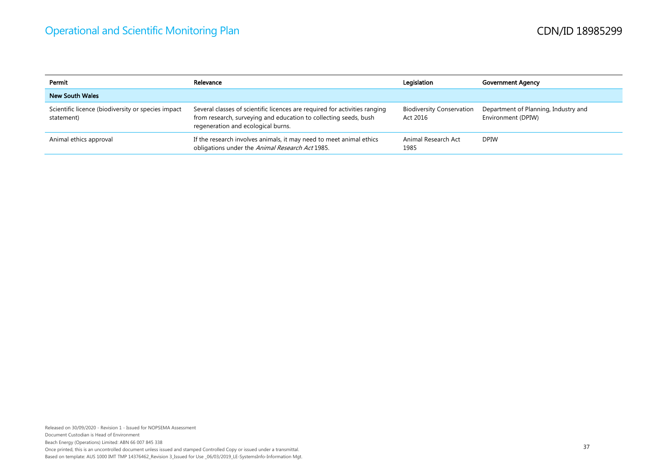| Permit                                                           | Relevance                                                                                                                                                                            | Legislation                                  | <b>Government Agency</b>                                   |
|------------------------------------------------------------------|--------------------------------------------------------------------------------------------------------------------------------------------------------------------------------------|----------------------------------------------|------------------------------------------------------------|
| <b>New South Wales</b>                                           |                                                                                                                                                                                      |                                              |                                                            |
| Scientific licence (biodiversity or species impact<br>statement) | Several classes of scientific licences are required for activities ranging<br>from research, surveying and education to collecting seeds, bush<br>regeneration and ecological burns. | <b>Biodiversity Conservation</b><br>Act 2016 | Department of Planning, Industry and<br>Environment (DPIW) |
| Animal ethics approval                                           | If the research involves animals, it may need to meet animal ethics<br>obligations under the Animal Research Act 1985.                                                               | Animal Research Act<br>1985                  | <b>DPIW</b>                                                |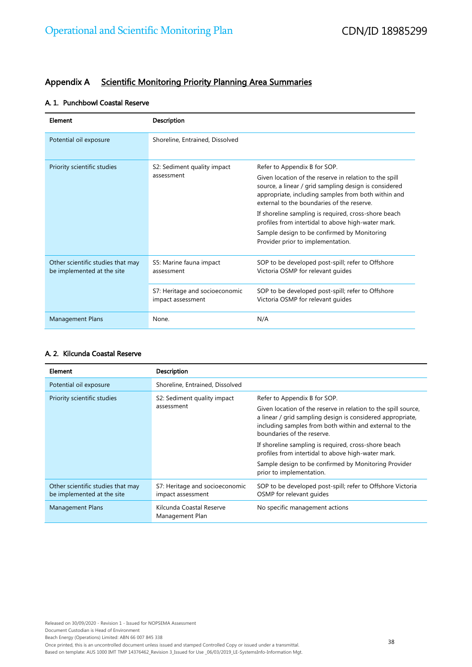## Appendix A Scientific Monitoring Priority Planning Area Summaries

#### A. 1. Punchbowl Coastal Reserve

| Element                                                         | Description                                         |                                                                                                                                                                                                                      |
|-----------------------------------------------------------------|-----------------------------------------------------|----------------------------------------------------------------------------------------------------------------------------------------------------------------------------------------------------------------------|
| Potential oil exposure                                          | Shoreline, Entrained, Dissolved                     |                                                                                                                                                                                                                      |
| Priority scientific studies                                     | S2: Sediment quality impact                         | Refer to Appendix B for SOP.                                                                                                                                                                                         |
|                                                                 | assessment                                          | Given location of the reserve in relation to the spill<br>source, a linear / grid sampling design is considered<br>appropriate, including samples from both within and<br>external to the boundaries of the reserve. |
|                                                                 |                                                     | If shoreline sampling is required, cross-shore beach<br>profiles from intertidal to above high-water mark.                                                                                                           |
|                                                                 |                                                     | Sample design to be confirmed by Monitoring<br>Provider prior to implementation.                                                                                                                                     |
| Other scientific studies that may<br>be implemented at the site | S5: Marine fauna impact<br>assessment               | SOP to be developed post-spill; refer to Offshore<br>Victoria OSMP for relevant quides                                                                                                                               |
|                                                                 | S7: Heritage and socioeconomic<br>impact assessment | SOP to be developed post-spill; refer to Offshore<br>Victoria OSMP for relevant quides                                                                                                                               |
| <b>Management Plans</b>                                         | None.                                               | N/A                                                                                                                                                                                                                  |

#### A. 2. Kilcunda Coastal Reserve

| Element                                                         | <b>Description</b>                                  |                                                                                                                                                                                                                      |
|-----------------------------------------------------------------|-----------------------------------------------------|----------------------------------------------------------------------------------------------------------------------------------------------------------------------------------------------------------------------|
| Potential oil exposure                                          | Shoreline, Entrained, Dissolved                     |                                                                                                                                                                                                                      |
| Priority scientific studies                                     | S2: Sediment quality impact<br>assessment           | Refer to Appendix B for SOP.                                                                                                                                                                                         |
|                                                                 |                                                     | Given location of the reserve in relation to the spill source,<br>a linear / grid sampling design is considered appropriate,<br>including samples from both within and external to the<br>boundaries of the reserve. |
|                                                                 |                                                     | If shoreline sampling is required, cross-shore beach<br>profiles from intertidal to above high-water mark.                                                                                                           |
|                                                                 |                                                     | Sample design to be confirmed by Monitoring Provider<br>prior to implementation.                                                                                                                                     |
| Other scientific studies that may<br>be implemented at the site | S7: Heritage and socioeconomic<br>impact assessment | SOP to be developed post-spill; refer to Offshore Victoria<br>OSMP for relevant guides                                                                                                                               |
| <b>Management Plans</b>                                         | Kilcunda Coastal Reserve<br>Management Plan         | No specific management actions                                                                                                                                                                                       |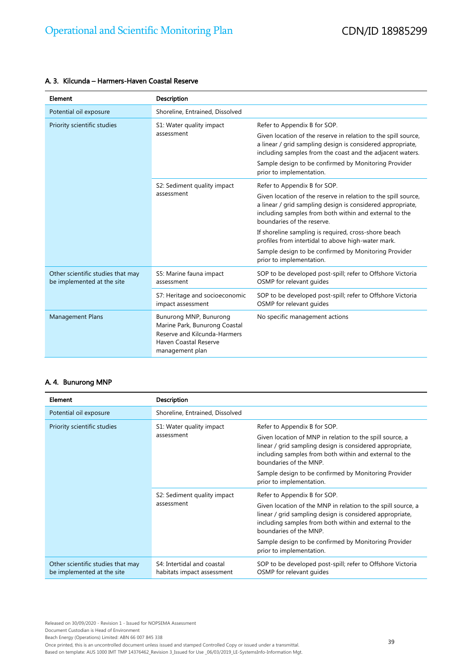| Element                                                         | <b>Description</b>                                                                                                                  |                                                                                                                                                                                                                      |
|-----------------------------------------------------------------|-------------------------------------------------------------------------------------------------------------------------------------|----------------------------------------------------------------------------------------------------------------------------------------------------------------------------------------------------------------------|
| Potential oil exposure                                          | Shoreline, Entrained, Dissolved                                                                                                     |                                                                                                                                                                                                                      |
| Priority scientific studies                                     | S1: Water quality impact<br>assessment                                                                                              | Refer to Appendix B for SOP.                                                                                                                                                                                         |
|                                                                 |                                                                                                                                     | Given location of the reserve in relation to the spill source,<br>a linear / grid sampling design is considered appropriate,<br>including samples from the coast and the adjacent waters.                            |
|                                                                 |                                                                                                                                     | Sample design to be confirmed by Monitoring Provider<br>prior to implementation.                                                                                                                                     |
|                                                                 | S2: Sediment quality impact<br>assessment                                                                                           | Refer to Appendix B for SOP.                                                                                                                                                                                         |
|                                                                 |                                                                                                                                     | Given location of the reserve in relation to the spill source,<br>a linear / grid sampling design is considered appropriate,<br>including samples from both within and external to the<br>boundaries of the reserve. |
|                                                                 |                                                                                                                                     | If shoreline sampling is required, cross-shore beach<br>profiles from intertidal to above high-water mark.                                                                                                           |
|                                                                 |                                                                                                                                     | Sample design to be confirmed by Monitoring Provider<br>prior to implementation.                                                                                                                                     |
| Other scientific studies that may<br>be implemented at the site | S5: Marine fauna impact<br>assessment                                                                                               | SOP to be developed post-spill; refer to Offshore Victoria<br>OSMP for relevant quides                                                                                                                               |
|                                                                 | S7: Heritage and socioeconomic<br>impact assessment                                                                                 | SOP to be developed post-spill; refer to Offshore Victoria<br>OSMP for relevant quides                                                                                                                               |
| <b>Management Plans</b>                                         | Bunurong MNP, Bunurong<br>Marine Park, Bunurong Coastal<br>Reserve and Kilcunda-Harmers<br>Haven Coastal Reserve<br>management plan | No specific management actions                                                                                                                                                                                       |

#### A. 3. Kilcunda – Harmers-Haven Coastal Reserve

#### A. 4. Bunurong MNP

| Element                                                         | Description                                              |                                                                                                                                                                                                                                                                                                                                                              |
|-----------------------------------------------------------------|----------------------------------------------------------|--------------------------------------------------------------------------------------------------------------------------------------------------------------------------------------------------------------------------------------------------------------------------------------------------------------------------------------------------------------|
| Potential oil exposure                                          | Shoreline, Entrained, Dissolved                          |                                                                                                                                                                                                                                                                                                                                                              |
| Priority scientific studies                                     | S1: Water quality impact<br>assessment                   | Refer to Appendix B for SOP.<br>Given location of MNP in relation to the spill source, a<br>linear / grid sampling design is considered appropriate,<br>including samples from both within and external to the<br>boundaries of the MNP.<br>Sample design to be confirmed by Monitoring Provider                                                             |
|                                                                 | S2: Sediment quality impact<br>assessment                | prior to implementation.<br>Refer to Appendix B for SOP.<br>Given location of the MNP in relation to the spill source, a<br>linear / grid sampling design is considered appropriate,<br>including samples from both within and external to the<br>boundaries of the MNP.<br>Sample design to be confirmed by Monitoring Provider<br>prior to implementation. |
| Other scientific studies that may<br>be implemented at the site | S4: Intertidal and coastal<br>habitats impact assessment | SOP to be developed post-spill; refer to Offshore Victoria<br>OSMP for relevant quides                                                                                                                                                                                                                                                                       |

Released on 30/09/2020 - Revision 1 - Issued for NOPSEMA Assessment Document Custodian is Head of Environment Beach Energy (Operations) Limited: ABN 66 007 845 338 Once printed, this is an uncontrolled document unless issued and stamped Controlled Copy or issued under a transmittal.

Based on template: AUS 1000 IMT TMP 14376462\_Revision 3\_Issued for Use \_06/03/2019\_LE-SystemsInfo-Information Mgt.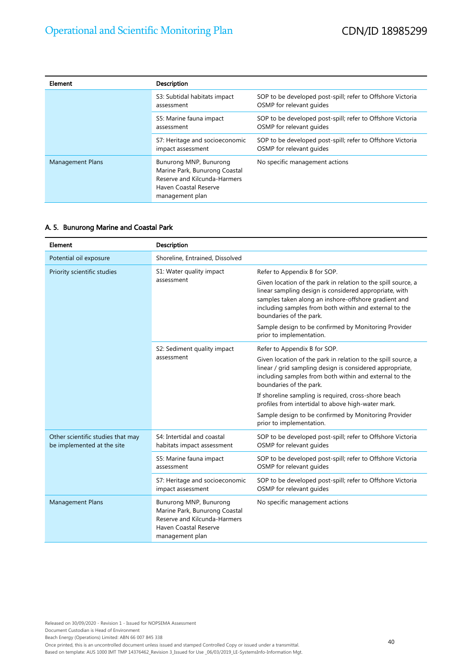| Element          | <b>Description</b>                                                                                                                  |                                                                                        |
|------------------|-------------------------------------------------------------------------------------------------------------------------------------|----------------------------------------------------------------------------------------|
|                  | S3: Subtidal habitats impact<br>assessment                                                                                          | SOP to be developed post-spill; refer to Offshore Victoria<br>OSMP for relevant quides |
|                  | S5: Marine fauna impact<br>assessment                                                                                               | SOP to be developed post-spill; refer to Offshore Victoria<br>OSMP for relevant quides |
|                  | S7: Heritage and socioeconomic<br>impact assessment                                                                                 | SOP to be developed post-spill; refer to Offshore Victoria<br>OSMP for relevant quides |
| Management Plans | Bunurong MNP, Bunurong<br>Marine Park, Bunurong Coastal<br>Reserve and Kilcunda-Harmers<br>Haven Coastal Reserve<br>management plan | No specific management actions                                                         |

#### A. 5. Bunurong Marine and Coastal Park

| Element                                                         | Description                                                                                                                                |                                                                                                                                                                                                                                                                      |
|-----------------------------------------------------------------|--------------------------------------------------------------------------------------------------------------------------------------------|----------------------------------------------------------------------------------------------------------------------------------------------------------------------------------------------------------------------------------------------------------------------|
| Potential oil exposure                                          | Shoreline, Entrained, Dissolved                                                                                                            |                                                                                                                                                                                                                                                                      |
| Priority scientific studies                                     | S1: Water quality impact<br>assessment                                                                                                     | Refer to Appendix B for SOP.                                                                                                                                                                                                                                         |
|                                                                 |                                                                                                                                            | Given location of the park in relation to the spill source, a<br>linear sampling design is considered appropriate, with<br>samples taken along an inshore-offshore gradient and<br>including samples from both within and external to the<br>boundaries of the park. |
|                                                                 |                                                                                                                                            | Sample design to be confirmed by Monitoring Provider<br>prior to implementation.                                                                                                                                                                                     |
|                                                                 | S2: Sediment quality impact<br>assessment                                                                                                  | Refer to Appendix B for SOP.                                                                                                                                                                                                                                         |
|                                                                 |                                                                                                                                            | Given location of the park in relation to the spill source, a<br>linear / grid sampling design is considered appropriate,<br>including samples from both within and external to the<br>boundaries of the park.                                                       |
|                                                                 |                                                                                                                                            | If shoreline sampling is required, cross-shore beach<br>profiles from intertidal to above high-water mark.                                                                                                                                                           |
|                                                                 |                                                                                                                                            | Sample design to be confirmed by Monitoring Provider<br>prior to implementation.                                                                                                                                                                                     |
| Other scientific studies that may<br>be implemented at the site | S4: Intertidal and coastal<br>habitats impact assessment                                                                                   | SOP to be developed post-spill; refer to Offshore Victoria<br>OSMP for relevant guides                                                                                                                                                                               |
|                                                                 | S5: Marine fauna impact<br>assessment                                                                                                      | SOP to be developed post-spill; refer to Offshore Victoria<br>OSMP for relevant quides                                                                                                                                                                               |
|                                                                 | S7: Heritage and socioeconomic<br>impact assessment                                                                                        | SOP to be developed post-spill; refer to Offshore Victoria<br>OSMP for relevant guides                                                                                                                                                                               |
| <b>Management Plans</b>                                         | Bunurong MNP, Bunurong<br>Marine Park, Bunurong Coastal<br>Reserve and Kilcunda-Harmers<br><b>Haven Coastal Reserve</b><br>management plan | No specific management actions                                                                                                                                                                                                                                       |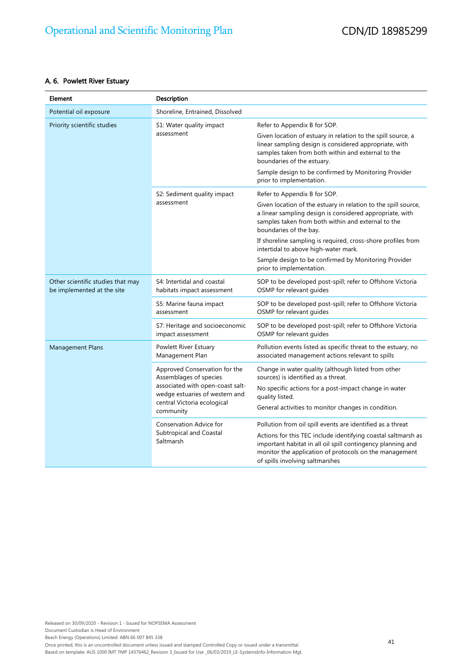#### A. 6. Powlett River Estuary

| Element                                                         | Description                                                                                                                                                               |                                                                                                                                                                                                                           |
|-----------------------------------------------------------------|---------------------------------------------------------------------------------------------------------------------------------------------------------------------------|---------------------------------------------------------------------------------------------------------------------------------------------------------------------------------------------------------------------------|
| Potential oil exposure                                          | Shoreline, Entrained, Dissolved                                                                                                                                           |                                                                                                                                                                                                                           |
| Priority scientific studies                                     | S1: Water quality impact<br>assessment                                                                                                                                    | Refer to Appendix B for SOP.                                                                                                                                                                                              |
|                                                                 |                                                                                                                                                                           | Given location of estuary in relation to the spill source, a<br>linear sampling design is considered appropriate, with<br>samples taken from both within and external to the<br>boundaries of the estuary.                |
|                                                                 |                                                                                                                                                                           | Sample design to be confirmed by Monitoring Provider<br>prior to implementation.                                                                                                                                          |
|                                                                 | S2: Sediment quality impact                                                                                                                                               | Refer to Appendix B for SOP.                                                                                                                                                                                              |
|                                                                 | assessment                                                                                                                                                                | Given location of the estuary in relation to the spill source,<br>a linear sampling design is considered appropriate, with<br>samples taken from both within and external to the<br>boundaries of the bay.                |
|                                                                 |                                                                                                                                                                           | If shoreline sampling is required, cross-shore profiles from<br>intertidal to above high-water mark.                                                                                                                      |
|                                                                 |                                                                                                                                                                           | Sample design to be confirmed by Monitoring Provider<br>prior to implementation.                                                                                                                                          |
| Other scientific studies that may<br>be implemented at the site | S4: Intertidal and coastal<br>habitats impact assessment                                                                                                                  | SOP to be developed post-spill; refer to Offshore Victoria<br>OSMP for relevant quides                                                                                                                                    |
|                                                                 | S5: Marine fauna impact<br>assessment                                                                                                                                     | SOP to be developed post-spill; refer to Offshore Victoria<br>OSMP for relevant quides                                                                                                                                    |
|                                                                 | S7: Heritage and socioeconomic<br>impact assessment                                                                                                                       | SOP to be developed post-spill; refer to Offshore Victoria<br>OSMP for relevant guides                                                                                                                                    |
| <b>Management Plans</b>                                         | Powlett River Estuary<br>Management Plan                                                                                                                                  | Pollution events listed as specific threat to the estuary, no<br>associated management actions relevant to spills                                                                                                         |
|                                                                 | Approved Conservation for the<br>Assemblages of species<br>associated with open-coast salt-<br>wedge estuaries of western and<br>central Victoria ecological<br>community | Change in water quality (although listed from other<br>sources) is identified as a threat.                                                                                                                                |
|                                                                 |                                                                                                                                                                           | No specific actions for a post-impact change in water<br>quality listed.                                                                                                                                                  |
|                                                                 |                                                                                                                                                                           | General activities to monitor changes in condition.                                                                                                                                                                       |
|                                                                 | Conservation Advice for<br><b>Subtropical and Coastal</b><br>Saltmarsh                                                                                                    | Pollution from oil spill events are identified as a threat                                                                                                                                                                |
|                                                                 |                                                                                                                                                                           | Actions for this TEC include identifying coastal saltmarsh as<br>important habitat in all oil spill contingency planning and<br>monitor the application of protocols on the management<br>of spills involving saltmarshes |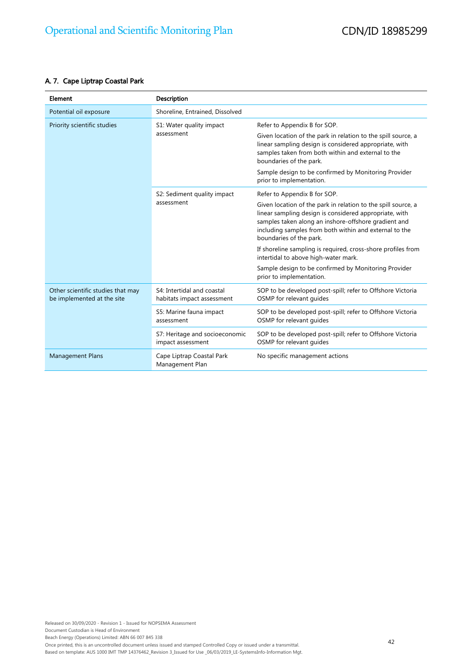#### A. 7. Cape Liptrap Coastal Park

| Element                                                         | <b>Description</b>                                       |                                                                                                                                                                                                                                                                      |
|-----------------------------------------------------------------|----------------------------------------------------------|----------------------------------------------------------------------------------------------------------------------------------------------------------------------------------------------------------------------------------------------------------------------|
| Potential oil exposure                                          | Shoreline, Entrained, Dissolved                          |                                                                                                                                                                                                                                                                      |
| Priority scientific studies                                     | S1: Water quality impact<br>assessment                   | Refer to Appendix B for SOP.                                                                                                                                                                                                                                         |
|                                                                 |                                                          | Given location of the park in relation to the spill source, a<br>linear sampling design is considered appropriate, with<br>samples taken from both within and external to the<br>boundaries of the park.                                                             |
|                                                                 |                                                          | Sample design to be confirmed by Monitoring Provider<br>prior to implementation.                                                                                                                                                                                     |
|                                                                 | S2: Sediment quality impact<br>assessment                | Refer to Appendix B for SOP.                                                                                                                                                                                                                                         |
|                                                                 |                                                          | Given location of the park in relation to the spill source, a<br>linear sampling design is considered appropriate, with<br>samples taken along an inshore-offshore gradient and<br>including samples from both within and external to the<br>boundaries of the park. |
|                                                                 |                                                          | If shoreline sampling is required, cross-shore profiles from<br>intertidal to above high-water mark.                                                                                                                                                                 |
|                                                                 |                                                          | Sample design to be confirmed by Monitoring Provider<br>prior to implementation.                                                                                                                                                                                     |
| Other scientific studies that may<br>be implemented at the site | S4: Intertidal and coastal<br>habitats impact assessment | SOP to be developed post-spill; refer to Offshore Victoria<br>OSMP for relevant quides                                                                                                                                                                               |
|                                                                 | S5: Marine fauna impact<br>assessment                    | SOP to be developed post-spill; refer to Offshore Victoria<br>OSMP for relevant quides                                                                                                                                                                               |
|                                                                 | S7: Heritage and socioeconomic<br>impact assessment      | SOP to be developed post-spill; refer to Offshore Victoria<br>OSMP for relevant quides                                                                                                                                                                               |
| <b>Management Plans</b>                                         | Cape Liptrap Coastal Park<br>Management Plan             | No specific management actions                                                                                                                                                                                                                                       |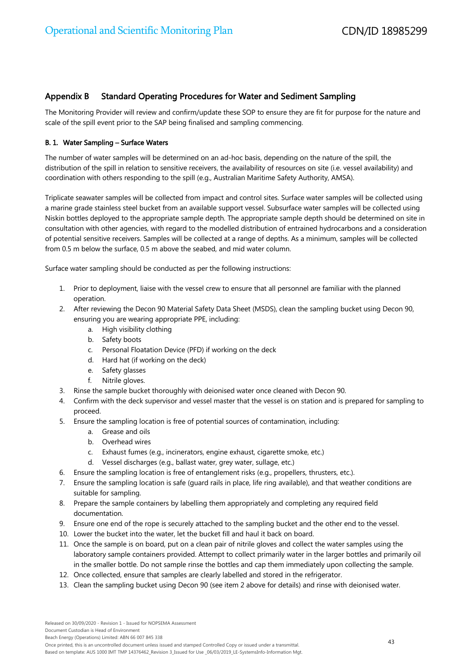#### Appendix B Standard Operating Procedures for Water and Sediment Sampling

The Monitoring Provider will review and confirm/update these SOP to ensure they are fit for purpose for the nature and scale of the spill event prior to the SAP being finalised and sampling commencing.

#### B. 1. Water Sampling – Surface Waters

The number of water samples will be determined on an ad-hoc basis, depending on the nature of the spill, the distribution of the spill in relation to sensitive receivers, the availability of resources on site (i.e. vessel availability) and coordination with others responding to the spill (e.g., Australian Maritime Safety Authority, AMSA).

Triplicate seawater samples will be collected from impact and control sites. Surface water samples will be collected using a marine grade stainless steel bucket from an available support vessel. Subsurface water samples will be collected using Niskin bottles deployed to the appropriate sample depth. The appropriate sample depth should be determined on site in consultation with other agencies, with regard to the modelled distribution of entrained hydrocarbons and a consideration of potential sensitive receivers. Samples will be collected at a range of depths. As a minimum, samples will be collected from 0.5 m below the surface, 0.5 m above the seabed, and mid water column.

Surface water sampling should be conducted as per the following instructions:

- 1. Prior to deployment, liaise with the vessel crew to ensure that all personnel are familiar with the planned operation.
- 2. After reviewing the Decon 90 Material Safety Data Sheet (MSDS), clean the sampling bucket using Decon 90, ensuring you are wearing appropriate PPE, including:
	- a. High visibility clothing
	- b. Safety boots
	- c. Personal Floatation Device (PFD) if working on the deck
	- d. Hard hat (if working on the deck)
	- e. Safety glasses
	- f. Nitrile gloves.
- 3. Rinse the sample bucket thoroughly with deionised water once cleaned with Decon 90.
- 4. Confirm with the deck supervisor and vessel master that the vessel is on station and is prepared for sampling to proceed.
- 5. Ensure the sampling location is free of potential sources of contamination, including:
	- a. Grease and oils
	- b. Overhead wires
	- c. Exhaust fumes (e.g., incinerators, engine exhaust, cigarette smoke, etc.)
	- d. Vessel discharges (e.g., ballast water, grey water, sullage, etc.)
- 6. Ensure the sampling location is free of entanglement risks (e.g., propellers, thrusters, etc.).
- 7. Ensure the sampling location is safe (guard rails in place, life ring available), and that weather conditions are suitable for sampling.
- 8. Prepare the sample containers by labelling them appropriately and completing any required field documentation.
- 9. Ensure one end of the rope is securely attached to the sampling bucket and the other end to the vessel.
- 10. Lower the bucket into the water, let the bucket fill and haul it back on board.
- 11. Once the sample is on board, put on a clean pair of nitrile gloves and collect the water samples using the laboratory sample containers provided. Attempt to collect primarily water in the larger bottles and primarily oil in the smaller bottle. Do not sample rinse the bottles and cap them immediately upon collecting the sample.
- 12. Once collected, ensure that samples are clearly labelled and stored in the refrigerator.
- 13. Clean the sampling bucket using Decon 90 (see item 2 above for details) and rinse with deionised water.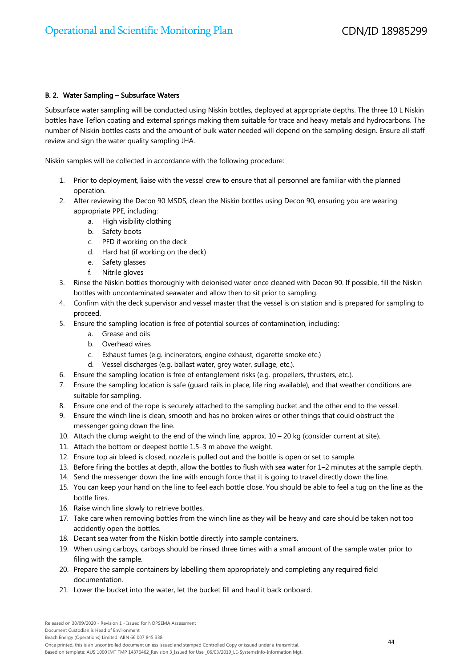#### B. 2. Water Sampling – Subsurface Waters

Subsurface water sampling will be conducted using Niskin bottles, deployed at appropriate depths. The three 10 L Niskin bottles have Teflon coating and external springs making them suitable for trace and heavy metals and hydrocarbons. The number of Niskin bottles casts and the amount of bulk water needed will depend on the sampling design. Ensure all staff review and sign the water quality sampling JHA.

Niskin samples will be collected in accordance with the following procedure:

- 1. Prior to deployment, liaise with the vessel crew to ensure that all personnel are familiar with the planned operation.
- 2. After reviewing the Decon 90 MSDS, clean the Niskin bottles using Decon 90, ensuring you are wearing appropriate PPE, including:
	- a. High visibility clothing
	- b. Safety boots
	- c. PFD if working on the deck
	- d. Hard hat (if working on the deck)
	- e. Safety glasses
	- f. Nitrile gloves
- 3. Rinse the Niskin bottles thoroughly with deionised water once cleaned with Decon 90. If possible, fill the Niskin bottles with uncontaminated seawater and allow then to sit prior to sampling.
- 4. Confirm with the deck supervisor and vessel master that the vessel is on station and is prepared for sampling to proceed.
- 5. Ensure the sampling location is free of potential sources of contamination, including:
	- a. Grease and oils
	- b. Overhead wires
	- c. Exhaust fumes (e.g. incinerators, engine exhaust, cigarette smoke etc.)
	- d. Vessel discharges (e.g. ballast water, grey water, sullage, etc.).
- 6. Ensure the sampling location is free of entanglement risks (e.g. propellers, thrusters, etc.).
- 7. Ensure the sampling location is safe (guard rails in place, life ring available), and that weather conditions are suitable for sampling.
- 8. Ensure one end of the rope is securely attached to the sampling bucket and the other end to the vessel.
- 9. Ensure the winch line is clean, smooth and has no broken wires or other things that could obstruct the messenger going down the line.
- 10. Attach the clump weight to the end of the winch line, approx. 10 20 kg (consider current at site).
- 11. Attach the bottom or deepest bottle 1.5–3 m above the weight.
- 12. Ensure top air bleed is closed, nozzle is pulled out and the bottle is open or set to sample.
- 13. Before firing the bottles at depth, allow the bottles to flush with sea water for 1–2 minutes at the sample depth.
- 14. Send the messenger down the line with enough force that it is going to travel directly down the line.
- 15. You can keep your hand on the line to feel each bottle close. You should be able to feel a tug on the line as the bottle fires.
- 16. Raise winch line slowly to retrieve bottles.
- 17. Take care when removing bottles from the winch line as they will be heavy and care should be taken not too accidently open the bottles.
- 18. Decant sea water from the Niskin bottle directly into sample containers.
- 19. When using carboys, carboys should be rinsed three times with a small amount of the sample water prior to filing with the sample.
- 20. Prepare the sample containers by labelling them appropriately and completing any required field documentation.
- 21. Lower the bucket into the water, let the bucket fill and haul it back onboard.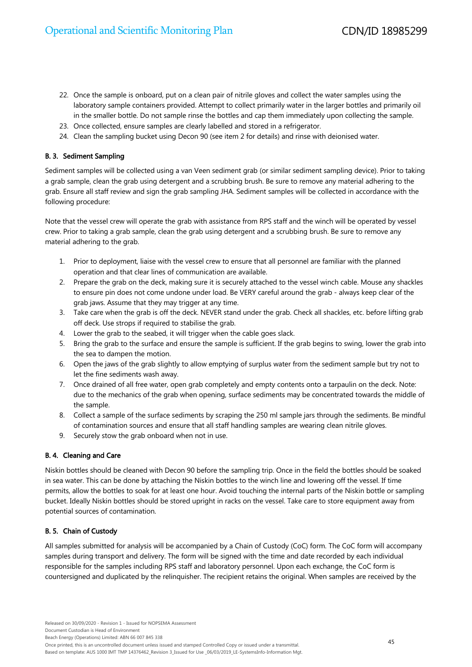- 22. Once the sample is onboard, put on a clean pair of nitrile gloves and collect the water samples using the laboratory sample containers provided. Attempt to collect primarily water in the larger bottles and primarily oil in the smaller bottle. Do not sample rinse the bottles and cap them immediately upon collecting the sample.
- 23. Once collected, ensure samples are clearly labelled and stored in a refrigerator.
- 24. Clean the sampling bucket using Decon 90 (see item 2 for details) and rinse with deionised water.

#### B. 3. Sediment Sampling

Sediment samples will be collected using a van Veen sediment grab (or similar sediment sampling device). Prior to taking a grab sample, clean the grab using detergent and a scrubbing brush. Be sure to remove any material adhering to the grab. Ensure all staff review and sign the grab sampling JHA. Sediment samples will be collected in accordance with the following procedure:

Note that the vessel crew will operate the grab with assistance from RPS staff and the winch will be operated by vessel crew. Prior to taking a grab sample, clean the grab using detergent and a scrubbing brush. Be sure to remove any material adhering to the grab.

- 1. Prior to deployment, liaise with the vessel crew to ensure that all personnel are familiar with the planned operation and that clear lines of communication are available.
- 2. Prepare the grab on the deck, making sure it is securely attached to the vessel winch cable. Mouse any shackles to ensure pin does not come undone under load. Be VERY careful around the grab - always keep clear of the grab jaws. Assume that they may trigger at any time.
- 3. Take care when the grab is off the deck. NEVER stand under the grab. Check all shackles, etc. before lifting grab off deck. Use strops if required to stabilise the grab.
- 4. Lower the grab to the seabed, it will trigger when the cable goes slack.
- 5. Bring the grab to the surface and ensure the sample is sufficient. If the grab begins to swing, lower the grab into the sea to dampen the motion.
- 6. Open the jaws of the grab slightly to allow emptying of surplus water from the sediment sample but try not to let the fine sediments wash away.
- 7. Once drained of all free water, open grab completely and empty contents onto a tarpaulin on the deck. Note: due to the mechanics of the grab when opening, surface sediments may be concentrated towards the middle of the sample.
- 8. Collect a sample of the surface sediments by scraping the 250 ml sample jars through the sediments. Be mindful of contamination sources and ensure that all staff handling samples are wearing clean nitrile gloves.
- 9. Securely stow the grab onboard when not in use.

#### B. 4. Cleaning and Care

Niskin bottles should be cleaned with Decon 90 before the sampling trip. Once in the field the bottles should be soaked in sea water. This can be done by attaching the Niskin bottles to the winch line and lowering off the vessel. If time permits, allow the bottles to soak for at least one hour. Avoid touching the internal parts of the Niskin bottle or sampling bucket. Ideally Niskin bottles should be stored upright in racks on the vessel. Take care to store equipment away from potential sources of contamination.

#### B. 5. Chain of Custody

All samples submitted for analysis will be accompanied by a Chain of Custody (CoC) form. The CoC form will accompany samples during transport and delivery. The form will be signed with the time and date recorded by each individual responsible for the samples including RPS staff and laboratory personnel. Upon each exchange, the CoC form is countersigned and duplicated by the relinquisher. The recipient retains the original. When samples are received by the